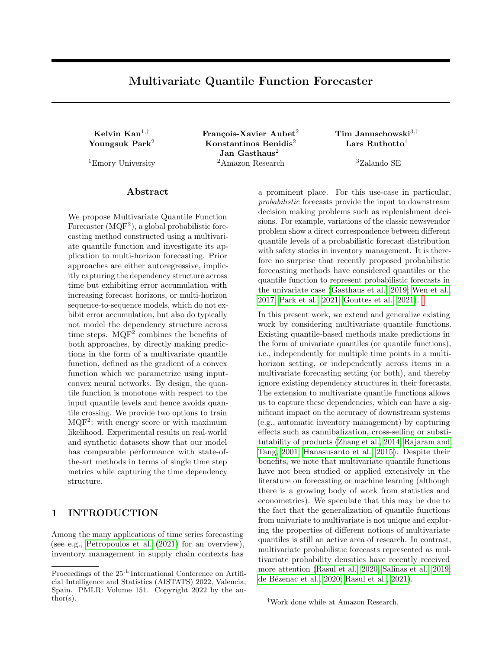# Multivariate Quantile Function Forecaster

 $\rm Youngsuk~Park^2$  Konstantinos Benidis<sup>2</sup> Lars Ruthotto<sup>1</sup> Jan Gasthaus<sup>2</sup> <sup>1</sup>Emory University 2Amazon Research <sup>3</sup>Zalando SE

Kelvin Kan<sup>1,†</sup> François-Xavier Aubet<sup>2</sup> Tim Januschowski<sup>3,†</sup>

### Abstract

We propose Multivariate Quantile Function Forecaster  $(MQF<sup>2</sup>)$ , a global probabilistic forecasting method constructed using a multivariate quantile function and investigate its application to multi-horizon forecasting. Prior approaches are either autoregressive, implicitly capturing the dependency structure across time but exhibiting error accumulation with increasing forecast horizons, or multi-horizon sequence-to-sequence models, which do not exhibit error accumulation, but also do typically not model the dependency structure across time steps.  $MQF<sup>2</sup>$  combines the benefits of both approaches, by directly making predictions in the form of a multivariate quantile function, defined as the gradient of a convex function which we parametrize using inputconvex neural networks. By design, the quantile function is monotone with respect to the input quantile levels and hence avoids quantile crossing. We provide two options to train  $MQF<sup>2</sup>$ : with energy score or with maximum likelihood. Experimental results on real-world and synthetic datasets show that our model has comparable performance with state-ofthe-art methods in terms of single time step metrics while capturing the time dependency structure.

### 1 INTRODUCTION

Among the many applications of time series forecasting (see e.g., Petropoulos et al. (2021) for an overview), inventory management in supply chain contexts has a prominent place. For this use-case in particular, probabilistic forecasts provide the input to downstream decision making problems such as replenishment decisions. For example, variations of the classic newsvendor problem show a direct correspondence between different quantile levels of a probabilistic forecast distribution with safety stocks in inventory management. It is therefore no surprise that recently proposed probabilistic forecasting methods have considered quantiles or the quantile function to represent probabilistic forecasts in the univariate case (Gasthaus et al., 2019; Wen et al., 2017; Park et al., 2021; Gouttes et al., 2021).

In this present work, we extend and generalize existing work by considering multivariate quantile functions. Existing quantile-based methods make predictions in the form of univariate quantiles (or quantile functions), i.e., independently for multiple time points in a multihorizon setting, or independently across items in a multivariate forecasting setting (or both), and thereby ignore existing dependency structures in their forecasts. The extension to multivariate quantile functions allows us to capture these dependencies, which can have a significant impact on the accuracy of downstream systems (e.g., automatic inventory management) by capturing effects such as cannibalization, cross-selling or substitutability of products (Zhang et al., 2014; Rajaram and Tang, 2001; Hanasusanto et al., 2015). Despite their benefits, we note that multivariate quantile functions have not been studied or applied extensively in the literature on forecasting or machine learning (although there is a growing body of work from statistics and econometrics). We speculate that this may be due to the fact that the generalization of quantile functions from univariate to multivariate is not unique and exploring the properties of different notions of multivariate quantiles is still an active area of research. In contrast, multivariate probabilistic forecasts represented as multivariate probability densities have recently received more attention (Rasul et al., 2020; Salinas et al., 2019; de Bézenac et al., 2020; Rasul et al., 2021).

Proceedings of the  $25<sup>th</sup>$  International Conference on Artificial Intelligence and Statistics (AISTATS) 2022, Valencia, Spain. PMLR: Volume 151. Copyright 2022 by the author(s).

<sup>†</sup>Work done while at Amazon Research.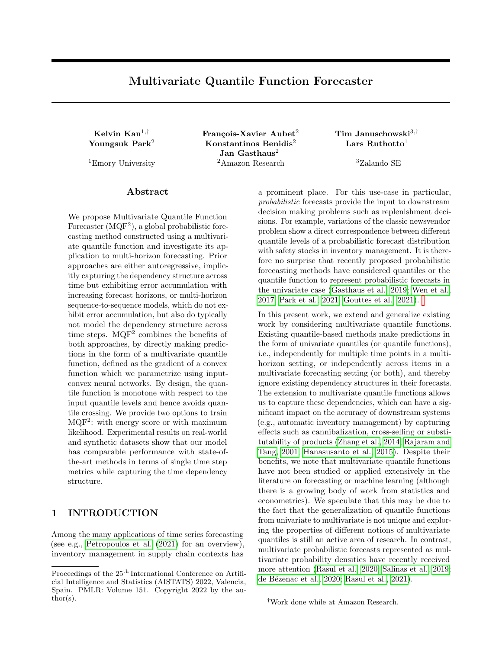In the univariate case, the quantile function of a random variable is (loosely speaking) the inverse of the cumulative distribution function (CDF). In the multivariate case, however, the corresponding notion of a multivariate quantile function is not uniquely de ned, and in fact several proposals have been presented (see to sharpen their intuition about the future. Carlier et al. (2016, Sec 2.4)), emphasizing dierent attributes of univariate quantile functions. Here we adopt the denition of Carlier et al. (2016) (studied further in Chernozhukov et al. (2017); Hallin et al. (2021)) as maps that (i) map a reference distribution (e.g., uniform on the unit cube) to the target distribution, and (ii) are monotonic, where the particular notion of multivariate monotonicity used is that of being the gradient of a convex function. Through Brenier's theorem (Brenier, 1991) and Knott-Smith optimality criterion (Knott and Smith, 1984), this de nition characterizes multivariate quantile functions as the unique solutions to optimal transport problems with quadratic costs. Further, property (i) immediately connects this notion to normalizing 
ows (where typically the inverse direction is parametrized), and indeed a 
ow obeying this particular form of monotonicity has recently been proposed (Huang et al., 2021).

In more details, our contributions are as follows:

- Building on the notion of multivariate quantile functions as gradients of convex function put forth in Carlier et al. (2016), we propose to parametrize multivariate quantile functions via the gradients of input convex neural networks(Amos et al., 2017).
- We propose a training procedure based on the energy score(Gneiting and Raftery, 2007), a generalization of the continuous ranked probability score (Matheson and Winkler, 1976) to the multivariate case, and empirically demonstrate that this is e ective and robust. Our model can alternatively be trained using a more standard maximum likelihood estimation approach, by relating it to normalizing 
ows (in particular the convex potential 
ows proposed in Huang et al. (2021)).
- We combine the multivariate quantile function model with an RNN-based feature extractor, resulting in a forecasting method that yields accurate joint multi-step forecasts. To the best of our knowledge, we are the rst to represent multivariate forecasts using multivariate quantile functions.

In our empirical evaluations we show the practical viability of our approach in a series of experiments on both real-world and synthetic data where we employ the multivariate quantile function to model the multi-step forecast distribution. Our approach avoids pitfalls like error accumulation (Salinas et al., 2020) and quantile

crossing (Wen et al., 2017) while allowing for realistic samples from the probabilistic forecast. The latter is particularly important in applications that require human interaction, e.g., in a supply chain context, where business analysts want to consider extreme scenarios

The rest of the paper is organized as follows. In Section 3 we review the building blocks of our methodology: multivariate quantile functions and various training objectives. In Section 4 we present our model and describe the training and inference procedures. In Section 5 we provide an empirical evaluation on several real-world datasets and conclude the paper in Section 6. We start by reviewing the state of the art.

# 2 RELATED WORK

Deep learning-based approaches to probabilistic time series forecasting have been widely studied (see Benidis et al. (2020) and references therein). In addition to models utilizing parametric distributions (e.g., DeepAR (Salinas et al., 2019)), approaches based on quantile regression (Koenker and Bassett, 1978; Koenker, 2005) combined with RNN/CNN (Wen et al., 2017) or Transformer-based (Li et al., 2019; Lim et al., 2021) feature extractors have been shown to be 
exible and e ective. However, these approaches are limited to univariate predictions at pre-speci ed quantile levels and su er from the quantile crossing problem. Recent work on modeling univariate quantile functions (Gasthaus et al., 2019; Park et al., 2021) has addressed these limitations while still focusing on the univariate case. Our approach extends this work to multivariate quantile functions, and similarly does not suer from quantile crossing or require quantile level pre-specication.

The idea of using (univariate) quantile levels as input to a neural network in order to dene a 
exible quantile function model has previously been explored. Dabney et al. (2018) proposed implicit quantile networks which are trained by minimizing quantile loss using random uniform samples as input in the context of distributional reinforcement learning to model the state-action return distribution, and Gouttes et al. (2021) employed the same approach in the context of time series forecasting. A similar approach using uniform samples as input and minimizing the corresponding quantile loss has been proposed in Tagasovska and Lopez-Paz (2019) as a generic mechanism for modeling aleatoric uncertainty. However, none of these approaches explicitly enforce the monotonicity constraint on the quantile function, nor consider multivariate quantiles.

Other multivariate notions of quantile functions than the one we use here have been proposed, e.g., through univariate conditional quantile functions (requiring the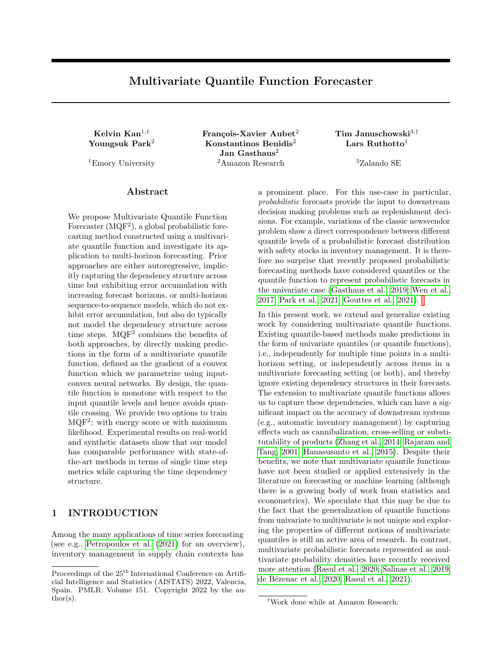choice of an ordering) (Wei, 2008), or as gradients of convex potentials but without requiring them to transport from a reference distribution to the target distribution (Koltchinskii, 1997). The notion we make use of here allows us to easily obtain samples (by being an optimal transport) while not requiring the choice of a particular ordering of the dimensions.

Conceptually closest to our approach, although not proposed in the setting of time series forecasting, is the work on convex potential 
ows (Huang et al., 2021). As in our work, and also inspired by the connection to optimal transport through Brenier's theorem, the authors propose to dene an invertible model as the gradient of a convex function and demonstrate how the inverse as well as the Jacobian determinant required for likelihood-based learning can be computed e ciently. They also propose to use input-convex neural networks to model the underlying convex function. Their work does not, however, consider the invertible mapping as a multivariate quantile function and|like other work on normalizing 
ows trained using maximum likelihood| uses a parametrization in the \reverse" direction (from the target to the Gaussian reference distribution). The same idea of using the gradient of an input-convex neural network model to dene functions that are solutions to optimal transport problems under quadratic cost has also been proposed in Bunne et al. (2021), albeit embedded in a larger architecture for modeling population dynamics.

More broadly, density models de ned through invertible maps (\normalizing 
ows") (Kobyzev et al., 2021) have been used in the context of time series forecasting as 
exible uni- and multivariate density models: Rasul et al. (2020) proposed to directly parametrize a multivariate forecast distribution using a normalizing 
ow, while de Bezenac et al. (2020) combined a linear-Gaussian dynamical system with an invertible output model. These approaches, however, treat the ows as generic density estimators and do not draw the connection to multivariate quantile functions.

### 3 BACKGROUND

In this section we introduce the necessary background and building blocks of our approach: multivariate quantile functions, the energy score (which forms the basis of our training procedure), normalizing 
ows (which underlie the alternative maximum likelihood training procedure), and (partially) input convex neural networks (which we use to parametrize the convex function).

### 3.1 Multivariate Quantile Functions

In the univariate case, for a real-valued random variable Z, denote by  $F_Z(z)$  its CDF. The corresponding quantile function is dened as

$$
q_z()
$$
 :=  $F_z^{-1}$ ( ) = inf f z 2 R :  $F_z(z)g$ : (1)

Here  $2$  (0; 1) is the quantile level, which is the probability that  $Z$  is less thang  $( )$ .

While the CDF naturally extends to the multivariate case  $F_Z : R^d : (0; 1)$ , it is not invertible in general, precluding us from de ning the corresponding quantile functions as its inverse. One natural way to de ne a quantile function of an n-variate random variable Z is as a mapping from  $(0,1)^n$  to R<sup>n</sup>. The input to this mapping is a quantile vector  $2(0;1)^n$  (instead of a single quantile level ), where the i-th entry <sup>i</sup> represents the quantile level of  $q_Z$  (  $\,$  )]<sub>i</sub>. However, such a mapping is not uniquely dened, as the entries of the quantile vector can interact with each other, so that the quantile levels do not have the same probabilistic meaning (Carlier et al., 2016). The de nition proposed in Carlier et al. (2016) that we adopt here resolves this ambiguity by enforcing a particular notion of monotonicity.

In the univariate case, by construction, the quantile function has two essential properties. The rst property is satisfying the representation property $1$ 

$$
Z = q_Z( ); \tU(0; 1)^n; \t(2)
$$

for  $n = 1$ . Here, we slightly abused notation by denoting as a random variable. The second property is monotonicity, i.e.,

$$
if \t1 < 2, then q_2(-1) q_2(-2): \t(3)
$$

The multivariate (vector) quantile function proposed in Carlier et al. (2016) is dened as a gradient of a convex function (a multivariate notion of monotonicity, thus extending (3)) that satises the representation property (2). Moreover, the convexity implies

$$
(q_2(-1) - q_2(-2))^2(-1 - 2) = 0;
$$
 (4)

which reduces to the monotonicity in the univariate case. Thus, this de nition reduces to the classical quantile function in the univariate case. By de ning the quantile function to be monotonic in the sense of being the gradient of a convex function, a connection to work on optimal transport (Villani, 2009; Peyre et al., 2019) is drawn, where Brenier's polar factorization theorem (Brenier, 1991) and Knott-Smith optimality criterion (Knott and Smith, 1984) establish that

<sup>&</sup>lt;sup>1</sup> In general, quantile vectors can follow distributions other than  $U(0, 1)^n$  (Carlier et al., 2016). For instance, one can use the isotropic Gaussian distribution.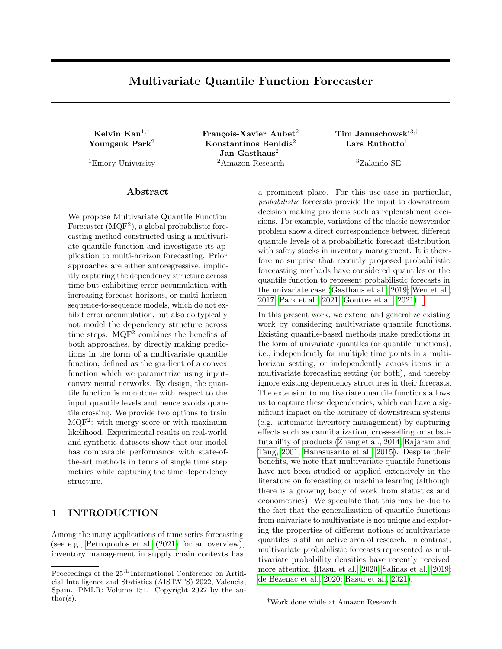such functions are the unique optimal transports with quadratic cost. In particular, the representation property and monotonicity are necessary and sucient for multivariate quantile functions to be the unique optimal transports from a reference distribution (typically chosen to be uniform on the unit cube) to the distribution of interest under quadratic cost, i.e. they minimize the Wasserstein distance min E <sub>U (0;1)</sub> k q( )k  $q:q()$  = Z 2 2 .

### 3.2 Energy Score

In the univariate case, given realizationsz of the random variable Z, we seek to estimate the quantile function  $q_z$  for all quantile levels  $2(0; 1)$ . We can achieve this by minimizing the continuous ranked probability score (CRPS) (Gneiting and Raftery, 2007), de ned as

L\_{CRPS} (q; z) = E<sub>w;w<sup>o</sup></sub> <sub>q(U(0; 1))</sub> 
$$
\frac{1}{2}
$$
jw  $w^0j + jw$  zj ; (5)

where w and  $w^0$  are independent. CRPS is strictly proper (Gneiting and Raftery, 2007), i.e.,

$$
E_z \, z \, L_{CRPS} \left( q_z; z \right) < E_z \, z \, L_{CRPS} \left( q; z \right); \qquad (6)
$$

for any Z and  $q \in q_Z$ , both with nite rst moment. In other words, for realizationsz of the random variableZ, the unique minimizer of CRPS is the quantile function  $q_{Z}$ .

The energy score (Gneiting and Raftery, 2007) is an extension of the CRPS to the multivariate setting, which takes a statistical energy perspective from Szekely  $(2003)$ . It is de ned as

$$
L_{ES}(q; z) = E_{w; w^{0} q(U(0; 1)^{n})} \frac{1}{2}kw w^{0}k_{2}
$$
  
+ kw zk\_{2}; (7)

where w and w<sup>0</sup> are independent. If  $2(0; 2)$ , the energy score is strictly proper (Sækely, 2003) for any Z and q  $6 \text{ q}$  satisfying  $E_z$  z kzk<sub>2</sub> < 1 and  $E_{w_{q(U(0;1)^n)}$ kwk<sub>2</sub> < 1, respectively.

In practice, we approximate the energy score by

$$
E_{ES}(q; z) = \frac{1}{2jCjjCj} \n\begin{array}{ccc}\nX & & w^{0}k_{2} \\
& & \times \\
& & \times \\
& & + \frac{1}{jC^{0}j} \n\end{array}
$$
\n
$$
k w w^{0}k_{2}
$$
\n
$$
+ \frac{1}{jC^{0}j} \n\begin{array}{ccc}\n& & \times \\
& & \times \\
& & \times\n\end{array}
$$
\n
$$
(8)
$$

where Cs are sets of nite samples drawn from  $q(U(0; 1)^n)$ .

#### 3.3 Normalizing Flows

Normalizing 
ows (Tabak and Turner, 2013; Ruthotto and Haber, 2021) are $C^1$ -di eomorphic and orientationpreserving functions which map from R<sup>n</sup> to R<sup>n</sup>. In particular, they transform a random variable of interest Z with density  $p_z$  into Y with a simple density  $p_y$ which can be easily evaluated, typically an isotropic Gaussian. Note that the mappings of normalizing 
ows go in the opposite direction to quantile functions, which map samples of a uniform (simple) distribution to Z. To distinguish between the two opposite directions, in this paper we denote normalizing ows asg.

Maximum Likelihood Estimation Using the change of variables formula, we estimate  $(z)$  as

$$
p_Z(z) \t p_{g}(z) = p_Y (g(z)) \det \frac{dg(z)}{dx} ; \t (9)
$$

where  $p_{\alpha}$  is the density induced by g. We target to nd a normalizing ow that approximates the true density pz well. One method to evaluate the discrepancy between the two densities in (9) is the Kullback-Leibler (KL) divergence dened by

$$
KL(p_Zkp_g) = E_z \t Z \t log \frac{p_Z(z)}{p_g(z)}
$$
  
= E\_z \t Z \t log(p\_Z(z)) \t E\_z \t Z \t log(p\_g(z)) :

The rst term is a constant and can be dropped in minimization. Replacing the expectation of the second term by samplesz<sub>i</sub>  $Z$ , for  $i = 1$ ; :::; m, we obtain the negative log-likelihood given by

$$
\frac{1}{m} \sum_{i=1}^{m} E_{ML} (g(z_i)) := \frac{1}{m} \sum_{i=1}^{m} \left[ log(p_g(z_i)) \right]
$$
\n
$$
= \frac{1}{m} \sum_{i=1}^{m} p_Y (g(z_i)) log \det \frac{dg(z_i)}{dx} \qquad (10)
$$

Sample Generation After training the normalizing ow, we can generate predicted samples  $oZ$  by going backward through the 
ow. That is computing the inverse  $g^{-1}(y)$ , where y is a sample drawn from the reference distribution de ned by  $p_Y$ .

#### 3.4 Partially Input Convex Neural Network

Input convex neural network (ICNN) (Amos et al., 2017) is a neural network with special constraints on its architecture such that it is convex with respect to (a part of) its input. ICNN has demonstrated successful applications in various optimal transport and optimal control problems (Bunne et al., 2021; Chen et al., 2019; Huang et al., 2021; Makkuva et al., 2020). Moreover, it has been proved that, under mild assumptions, ICNN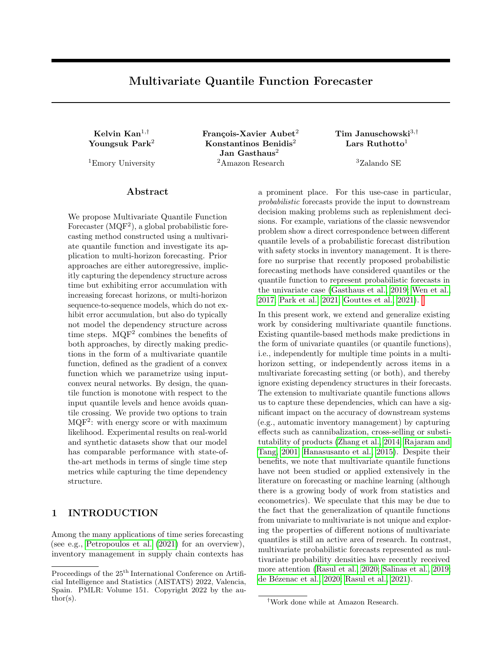and its gradient can universally approximate convex functions (Chen et al., 2019) and their gradients (Huang et al., 2021), respectively. This means that the gradient of ICNN can universally approximate multivariate quantile functions in the marginal case. Moreover, we will demonstrate in our experiments that it can also e ectively approximate conditional quantile functions.

We consider in this work a type of the ICNN called the partially input convex neural network (PICNN) (Amos et al., 2017), we follow the PICNN architecture used in (Huang et al., 2021). For an input pair  $($ ; h) 2 (R  $n$  R<sup>d</sup>), the key feature of PICNN is that it is only convex with respect to . The i-th layer of a k-layer PICNN, with  $i = 1$ ;::;; k, is represented as:

$$
v_{i+1} = a_i W_i^{(v)} v_i [W_i^{(vu)}u + b_i^{(v)}]_{+}
$$
 (11)

+ W<sub>i</sub><sup>( )</sup> 
$$
(W_i^{(u)}u + b_i^{( )}) + W_i^{(u)}u + b_i ;
$$

with: G (; h) =  $v_k$ ; u = a(Wh + b): (12)

Here, W 's and b's are weights and bias of the network, respectively, they are collectively denoted as ,

denotes the Hadamard product, and  $\mathbb{I}$  denotes the ReLU activation function. Moreover, to render the convexity of the network, a<sub>i</sub>'s are convex and nondecreasing activation functions, andW  $_1^{(v)}$ 's have nonnegative entries.

## 4 MULTIVARIATE QUANTILE FUNCTION FORECASTER

In this section, we introduce the Multivariate Quantile Function Forecaster (MQF<sup>2</sup>) which uses a multivariate quantile function conditioned on the past time points to make probabilistic forecasts. Contemporary deep learning based probabilistic forecasting methods like DeepAR (Salinas et al., 2020), MQRNN (Wen et al., 2017), or TFT (Lim et al., 2021) consist of two components: an encoder that extracts features from past observations and compresses them into a nitedimensional hidden state (Salinas et al. (2019) used an RNN-based encoder, Wen et al. (2017) used RNNs and CNNs, and Lim et al. (2021); Eisenach et al. (2020) used a Transformer-based architecture), and probabilistic output model which transforms the hidden state into a representation of the probability distribution over future observations (e.g. parametric density-based for Salinas et al. (2019), univariate quantile predictions for Wen et al. (2017); Eisenach et al. (2020); Lim et al. (2021), normalizing 
ow-based for Rasul et al. (2020)). We follow the same paradigm here and condition the multivariate quantile function (which constitutes the output model) on the hidden state produced by an encoder network. As our focus lies on the output model,

we restrict our attention to that component (see e.g. Salinas et al. (2019); Wen et al. (2017); Benidis et al. (2020) for details on the general setup) and only consider the combination with a DeepAR-based encoder (and follow the same window-based training procedure detailed in Salinas et al. (2020)), while in principle our approach can be combined with any encoder architecture. In the remainder of this section, we rst present how the PICNN can be used to model a multivariate quantile function. Then, we propose two alternatives to train the model, using the energy score and maximum likelihood, respectively.

### 4.1 PICNN Quantile Function

We propose to use the gradient of a PICNNg  $( ; h) :=$  $r$  G (; h) to model a conditional multivariate quantile function  $q$  (ih) with a quantile vector 2  $(0:1)^n$ . We illustrate this in the right half of Figure 1. The PICNN G (; h) is convex with respect to only Through this setup our multivariate quantile function satises the monotonicity property and hence (3) by design. In addition, the fact that the network is not convex with respect to the second input vectorh allows us to 
exibly condition the multivariate quantile function on input features or a representation of them produced by a time series encoder model.

As presented in Section 3.1, there are two essential properties for a quantile function, the representation property (2) and the monotonicity property. Our parametrization through the gradient of the PICNN constrains the multivariate quantile function to ful ll the monotonicity property, which means that we can train our model with standard gradient descent optimizers so as to come as close as possible to the representation property. To do so, we propose two alternatives: training with the energy score or with maximum likelihood.

While this representation of a multivariate quantile function is general and can be used in any regression context, we propose to use it in the probabilistic forecasting context. We use a forecasting encoder network  $H(x) = h$  to obtain a representation of the past time series on which we condition the quantile function. To the best of our knowledge, this is the rst application of the de nition of monotonicity to construct a multivariate quantile function for all quantile levels  $2 (0; 1)^n$ and the use of ICNN for this application.

#### 4.2 Training Procedure

We propose two alternative procedures to train the multivariate quantile forecasting functions described above. First using the energy score to bring the distribution of samples from the model to as close to the true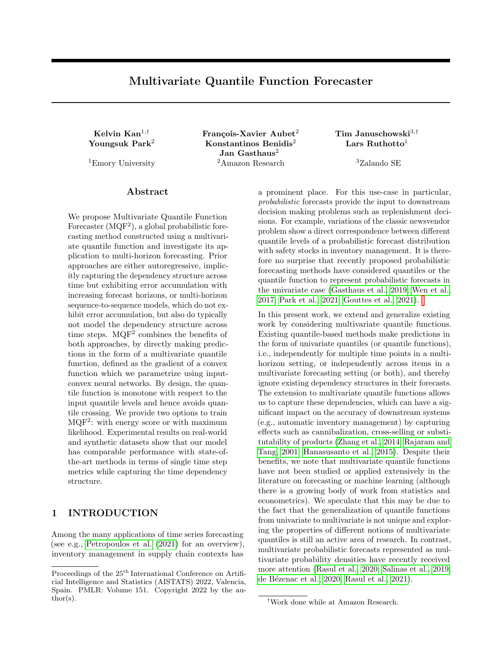Figure 1: Schematic representation of MQP. The crux of the method is the full multivariate quantile function which is monotone with respect to the multivariate quantile vector . It is achieved by modeling the quantile function with the gradient of a function G which is convex with respect to . The quantile function is conditioned on the past of the time series through a representation obtained from an encoder network. The network is trained by minimizing the loss between forecast samples and the true target.

distribution as possible and so ful II the representation property. The second option is to use normalizing ows as the inverse of the quantile function to map the observed samples to a Gaussian distribution. The network is then trained to maximize the likelihood of the mapped samples under the Gaussian distribution.

#### 4.2.1 Training via Energy Score

We propose to train  $MQF<sup>2</sup>$  using the energy score (Gneiting and Raftery, 2007), the generalization of CRPS to multivariate distributions.

Training Consider m training example pairs f (x<sub>i</sub>; z<sub>i</sub>)g<sub>ia1</sub>, where x<sub>i</sub> denotes the input features and z<sub>i</sub> the target output. Each z<sub>i</sub> can span multiple time steps and/or across multiple time series. We minimize the approximated energy score  $E_{ES}$  in (8) as

$$
\underset{i}{min}\ \frac{1}{m}\sum_{i=1}^{X^n}\ E_{ES}(q\ (jH\ (x_i));z_i);
$$

where q (jH  $(x_i)$ ) = g (;H  $(x_i)$ ) is the multivariate quantile function.

Inference Our multivariate quantile function is trained to provide estimate on all quantile levels, for inference we can compute = q ( jh), where  $2 (0; 1)^n$ is drawn from a uniform distribution.<sup>2</sup>

#### 4.2.2 Training via Maximum Likelihood

The second option is to train the gradient of PICNN through (conditional) normalizing 
ows. This approach follows Huang et al. (2021), which proposed to use ICNN as normalizing ows.

We note that normalizing ows take target samples z as input and return the corresponding Gaussian samples, as opposed to quantile functions which take uniform samples and output z. To distinguish this reversed direction of mapping, we denote the PICNN used for normalizing ows as G.

Invertible Gradient Since the gradient of PICNN is used as normalizing 
ows, it needs to be invertible. To this end, an  $I_2$  term is added to  $v_k$ , the nal layer of the PICNN (12), i.e.,

G (z; h) = 
$$
v_k(z; h) + \frac{1}{2}kzk_2^2;
$$
 (13)

where  $> 0$  is a trainable parameter. The additional term renders G strongly convex, and hence its gradient is invertible. In Huang et al. (2021), they term the mapping of the gradient  $g := r \nvert z \cdot g$  as convex potential 
ows.

Training Given the training example pairs f  $(x_i; z_i)$ g $_{i=1}^m$  , we minimize the negative log-likelihood, with  $\mathcal{L}_{ML}$  de ned in (10), as

$$
\underset{\vdots}{min}\ \frac{1}{m}\ \underset{\vdots=1}{\overset{X^{n}}{m}}\ \text{L}_{ML}\ (g\ (z_{i}\,;H\ (x_{i})))\,;
$$

Inference The normalizing 
ow can serve as a (generalized) quantile function (Carlier et al., 2016), which takes inputs drawn from an isotropic Gaussian distribution and output the predicted target samples.

In particular, we rst sample  $y$  2  $\mathsf{R}^n$  from the isotropic Gaussian distribution. Then we go backward through the ow to obtain the prediction  $z$ . To this end, we

 $2$ In practice, we use a generalized quantile vector (Carlier et al., 2016), which follows the isotropic Gaussian distribution. Because this empirically allows for a better training.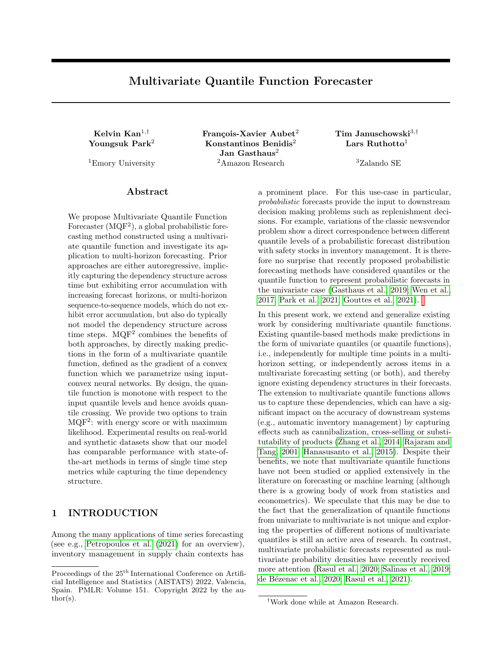solve the convex minimization problem

$$
\min_{z} \mathfrak{S} (z; h) \quad z^> y; \tag{14}
$$

whose minimum  $\ge$  satis es  $\theta$  ( $\ge$ ; h) = y. That is  $\ge$  =  $g^{-1}(y;h)$ . The minimization problem (14) is solved using the L-BFGS algorithm (Liu and Nocedal, 1989).

Monotonicity Since we are using the inverse of the normalizing 
ow as the quantile function, it is important to show that the inverse  $g^{-1}$  is also monotone, i.e., it is the gradient of a convex function. The following proposition guarantees the monotonicity of  $g^{-1}($ ; h).

Proposition 1. Let D  $R^n$  be open,  $G : D! R$ be a strongly convex and smooth function and be its gradient. Then g  $^1$  exists and is the gradient of a convex function.

For the proof of Proposition 1, we refer the readers to the Appendix. Note that the assumption of smoothness is satised when the PICNN architecture uses smooth activation functions such as the softplus function to render the whole network smooth.

### 5 EXPERIMENTS

Our MQF<sup>2</sup> can be multivariate in prediction horizon (multi-horizon) and/or across multiple time series. In our experimental evaluations, we focus on the former case, where at a given time point the model outputs a distribution of multiple points into the future. This evaluation setup allows us to compare to standard univariate forecasting models, here MQCNN (Wen et al., 2017) and DeepAR (Salinas et al., 2020). These two models represent di erent approaches for multi-horizon predictions. On the one hand, MQCNN factorizes the multivariate distribution over the time steps, considering them independently of each other and therefore the time dependency structure among them is ignored. On the other hand, DeepAR only predicts a single time step at a time and the model is unrolled to predict the full forecast horizon. By doing so it implicitly models the forward dependency among time steps, but at the cost of error accumulating.

We recall that MQF $^2$  is generic because it can be used in many sequence-to-sequence architectures as an alternative to the decoder. For our experiments, we choose to implement  $MQF<sup>2</sup>$  on top of a DeepAR encoder. We use the default hyperparameters for the comparison methods as found in GluonTS (Alexandrov et al., 2020). For  $MQF<sup>2</sup>$  we use the default parameters for the DeepAR encoder and PICNN with 40 hidden units and 5 hidden layers for the real experiments, and with 10 hidden units and 2 hidden layers for the synthetic experiments. We train the model to convergence (For

real data experiments, we use 100 epochs for MQCNN and DeepAR and 300 for  $MQP^2$  as it is more complex. For synthetic experiments, we use 50 epochs for all models). Otherwise all the hyperparameters are kept constant across models. MQ $\beta$  is implemented in PyTorch<sup>3</sup> (Paszke et al., 2019). We refer the readers to the Appendix for more details on the experimental details, model hyperparameters and their robustness.

We evaluate our model on both real and synthetic data. For the real experiments, we evaluate the methods on several real-world datasets and report the performance in terms of various univariate and multivariate metrics. For the synthetic experiment, we test the ability of dierent models to learn and predict articial data which follow a Gaussian process.

#### 5.1 Experiments on Real Data

We perform experiments onElec and Traf from the UCI data repository (Dheeru and Karra Taniskidou, 2017), and di erent M4competition datasets (Makridakis et al., 2018). The results are shown in Table 1. Experimental results in terms of more metrics and hyperparameter robustness tests are available in the Appendix. In the following we analyze them along di erent angles.

MQF  $2$  is competitive with the state of the art. Table 1 shows the mean scaled interval score (MSIS) (Gneiting and Raftery, 2007) and mean weighted quantile loss, averaged over the f 0:1; 0:2; :::; 0:9g quantiles and over the full forecast horizon. These are univariate probabilistic forecasting metrics which are computed at each point in the forecast horizon and are averaged over the points. We observe that MQF<sup>2</sup> is very competitive with the state of the art. In particular, under these two metrics,  $MQF<sup>2</sup>$  performs the best in all but 1 dataset (in which  $MQF<sup>2</sup>$ 's performance is close to the best one). While a main advantage of our method is to model the time dependencies across the time dimension of the forecast horizon, its performance on modeling the marginal distributions is comparable to that of MQCNN, which by design only learns such distributions.

MQF<sup>2</sup> captures the time dependency between outputs. We use two multivariate metrics to evaluate the multivariate distributions produced by di erent models. First, we measure the energy score between samples from the forecasting models and the observed target time series. In addition, we compute CRPS between the sum of these samples and the sum of the observed target time series. The distribution of a sum depends on the dependency among its elements. Hence,

<sup>&</sup>lt;sup>3</sup>available at https://github.com/awslabs/gluon-ts/ tree/master/src/gluonts/torch/model/mqf2 .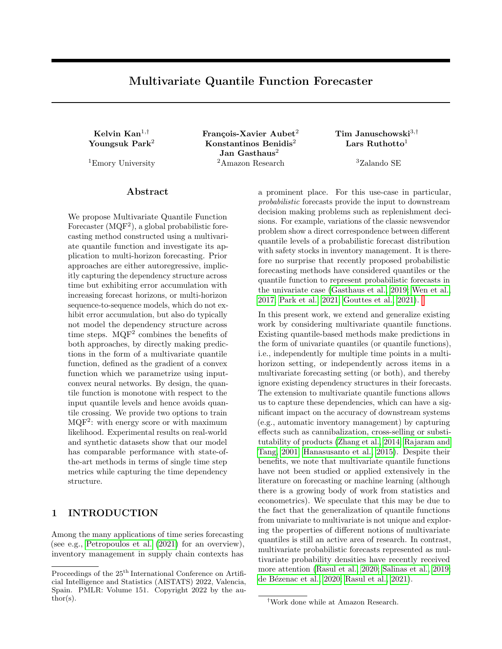Multivariate Quantile Function Forecaster

| Dataset    | Model        |                       | Metrics over full horizon |                  |       |                |               |                 | Mean Quantile Loss over di ering forecast horizon |                  |        |                  |               |                  |                |                 |                          |                |                |
|------------|--------------|-----------------------|---------------------------|------------------|-------|----------------|---------------|-----------------|---------------------------------------------------|------------------|--------|------------------|---------------|------------------|----------------|-----------------|--------------------------|----------------|----------------|
|            |              |                       | sum CRPS                  | Energy score     |       |                | <b>MSIS</b>   |                 | meanvQL                                           |                  | 1 step |                  | 5 steps       |                  | 10 steps       |                 | 15 steps                 |                | 20 steps       |
|            | <b>MQCNN</b> | 2323.5                | 54.2                      | 1282.1           | 1.0   | 11.7           | 0.0           | 0.086           | 0.0                                               | 0.042            | 0.0    | 0.125            | 0.01          | 0.117            | 0.02           | 0.094           | 0.01                     | 0.062          | 0.0            |
| Elec       | DeepAR       | 3059.6                | 180.8                     | 971.7            | 59.0  | 7.3            | 0.1           | 0.07            | 0.0                                               | 0.027            | 0.0    | 0.055            | 0.0           | 0.059            | 0.0            | 0.074           | 0.0                      | 0.089          | 0.01           |
|            | $MQF^2 + ES$ | 1723.7                | 122.8                     | 891.1            | 32.1  | 6.9            | 0.1           | 0.066           | 0.0                                               | 0.031            | 0.0    | 0.08             | 0.01          | 0.102            | 0.0            | 0.056           | 0.0                      | 0.068          | 0.01           |
|            | $MQF^2$ + ML | $2332.523 \pm 146.88$ |                           | 893.6± 53.8      |       |                | $7.2 \pm 0.6$ | $0.066 \pm 0.0$ |                                                   | $0.038 \pm 0.01$ |        | $0.088 +$        | 0.02          | $0.073 \pm 0.01$ |                | $0.053 \pm 0.0$ |                          | $0.067 + 0.01$ |                |
| Traf       | <b>MQCNN</b> | 0.419                 | 0.33                      | 0.161            | 0.06  | 46.1           | 1.6           | 0.993           | 0.29                                              | 0.905            | 0.4    | 5.909            | 0.37          | 0.878            | 0.42           | 0.871           | 0.23                     | 0.644          | 0.18           |
|            | DeepAR       | 0.108                 | 0.01                      | 0.061            | 0.0   | 7.2            | 0.1           | 0.131           | 0.0                                               | 0.074            | 0.0    | 0.163            | 0.0           | 0.117            | 0.0            | 0.123           | 0.0                      | 0.144          | 0.0            |
|            | $MQF^2 + ES$ | 0.095                 | 0.0                       | 0.06             | 0.0   | 7.2            | 0.0           | 0.142           | 0.0                                               | 0.104            | 0.0    | 0.298            | 0.01          | 0.139            | 0.01           | 0.127           | 0.0                      | 0.139          | 0.01           |
|            | $MQF^2$ + ML |                       | $0.097 \pm 0.0$           | $0.062 \pm 0.0$  |       |                | $6.6 \pm 0.1$ | $0.13 \pm 0.0$  |                                                   | $0.078 \pm 0.0$  |        | $0.165 \pm 0.01$ |               |                  | $0.13 \pm 0.0$ |                 | $0.12 \pm 0.0$           |                | $0.14 \pm 0.0$ |
|            | <b>MQCNN</b> | 3089.8                | 10.4                      | 923.1            | 3.6   | 41.9           | 0.9           | 0.027           | 0.0                                               | 0.009            | 0.0    | 0.019            | 0.0           | 0.024            | 0.0            |                 | $\overline{\phantom{a}}$ |                |                |
|            | DeepAR       | 3186.2                | 966.5                     | 989.3            | 244.3 | 50.5           | 8.0           | 0.039           | 0.01                                              | 0.015            | 0.0    | 0.028            | 0.01          | 0.049            | 0.01           |                 |                          |                |                |
| M4-daily   | $MQF^2 + ES$ | 1752.0                | 47.3                      | 619.2            | 8.7   | 31.1           | 0.3           | 0.024           | 0.0                                               | 0.013            | 0.0    | 0.019            | 0.0           | 0.027            | 0.0            |                 |                          |                |                |
|            | $MQF^2$ + ML | $1786.028 \pm 60.94$  |                           | $622.0 +$        | 14.7  | $30.5 \pm 0.3$ |               | $0.024 \pm 0.0$ |                                                   | $0.01 \pm 0.0$   |        | $0.019 + 0.0$    |               | $0.029 \pm 0.0$  |                |                 |                          |                |                |
|            | <b>MQCNN</b> | 9196.6                | 175.4                     | 3269.9           | 34.6  | 18.7           | 0.4           | 0.12            | 0.0                                               | 0.072            | 0.0    | 0.096            | 0.0           | 0.115            | 0.0            | 0.134           | 0.0                      |                |                |
|            | DeepAR       | 7337.0                | 345.5                     | 2572.1           | 95.0  | 14.0           | 1.5           | 0.113           | 0.0                                               | 0.063            | 0.0    | 0.092            | 0.0           | 0.115            | 0.0            | 0.143           | 0.01                     |                |                |
| M4-monthly | $MQF^2 + ES$ | 7365.7                | 218.1                     | 2554.6           | 79.3  | 12.8           | 1.4           | 0.112           | 0.0                                               | 0.059            | 0.0    | 0.087            | 0.0           | 0.113            | 0.0            | 0.145           | 0.0                      |                |                |
|            | $MQF^2$ + ML | $8235.445 \pm 0.0$    |                           | $2839.7 \pm 0.0$ |       | $14.4 \pm 0.0$ |               | $0.124 \pm 0.0$ |                                                   | $0.066 \pm 0.0$  |        |                  | $0.1 \pm 0.0$ | $0.124 \pm 0.0$  |                | $0.159 \pm 0.0$ |                          |                |                |
|            | <b>MQCNN</b> | 3753.7                | 28.1                      | 1976.2           | 12.8  | 34.2           | 0.3           | 0.115           | 0.0                                               | 0.064            | 0.0    | 0.141            | 0.0           |                  |                |                 |                          |                |                |
|            | DeepAR       | 3749.1                | 42.6                      | 1917.1           | 7.9   | 34.9           | 0.6           | 0.118           | 0.0                                               | 0.065            | 0.0    | 0.145            | 0.0           |                  |                |                 |                          |                |                |
| M4-yearly  | $MQF^2 + ES$ | 3649.3                | 60.9                      | 1859.4           | 28.1  | 36.7           | 1.6           | 0.116           | 0.0                                               | 0.075            | 0.0    | 0.135            | 0.0           |                  |                |                 |                          |                |                |
|            | $MQF^2$ + ML | $3784.486 \pm 105.76$ |                           | 1913.2 35.2      |       | $38.8 \pm 2.1$ |               | $0.119 + 0.0$   |                                                   | $0.07 \pm 0.0$   |        | $0.143 \pm 0.0$  |               |                  |                |                 |                          |                |                |

Table 1: Results of MQF<sup>2</sup> compared with other state of the art methods (for all columns lower is better.) We show the mean and standard deviation over 3 training runs. A  $\lceil \cdot \rceil$  indicates that the corresponding time step is beyond the prediction length of the dataset.

### (a) MQCNN (b) MQF  $^2$

Figure 2: Three sample paths generated by MQCNN and MQF<sup>2</sup>. The dotted vertical lines represent the start of the prediction horizon.

accurately measuring the dependency between the time points will result in a better estimate of the distribution of their sum. These two metrics are shown in Table 1 and are computed over the full forecast horizon of each dataset. We see that  $MQF<sup>2</sup>$  outperforms the comparing methods by some margin, especially when it is trained with energy score. In particular,  $MQF<sup>2</sup>$  performs the best in all but 1 result, in which it is very close to the best method and reports a much lower standard deviation over training runs.

We observe that MQCNN is underperforming because it assumes that the time points over the prediction horizon are independent and hence cannot capture time dependency. On the other hand, on some datasets like Traf , M4-monthly, and M4-yearly , DeepAR's implicit modeling of the forward time dependencies allows it to obtain results very close to  $MQF^2$ .

MQF<sup>2</sup> avoids error accumulation. DeepAR is able to model the forward dependency across time points implicitly through the unrolling on samples, however this can result in error accumulation through the unrolling (Rangapuram et al., 2018). To compare DeepAR with our model in this respect, we compute the mean weighted quantile losses on di erent forecast horizons. Table 1 shows the loss for 1, 5, 10, 15, and 20 steps ahead. Note that on some datasets the selected steps are longer than the prediction length, and the loss cannot be computed beyond the prediction length. We see that MQF<sup>2</sup> has competitive performance across all time steps and datasets. For all the datasets either MQCNN or MQF<sup>2</sup> perform the best on the furthest quantile horizon, even on datasets where DeepAR performs the best at shorter horizons. However, in the results of Traf dataset, we observe that  $MQP<sup>2</sup>$  has a more stable performance than MQCNN, which reports very high losses at all the time steps.

MQF  $^2$  produces consistent sample paths. Beyond the quantitative evaluation of the multivariate distribution, we evaluate it qualitatively by visually inspecting predicted sample paths. In a model where the distribution over each of the time steps is modeled independently, sample paths would fail to represent the dependency between time points which can lead to unrealistic sampled forecasts. Figure 2 shows sample paths from MQCNN and MQF<sup>2</sup> on the same time series. We observe that the distributions of the samples at each time step are similar for both models. However, the sample paths from MQCNN fail to mimic the smoothness of the real time series, as each time point is modeled and sampled independently. On the contrary, note that the samples from MQF<sup>2</sup> indeed display realistic behavior because of its modeling of the time dependencies. We provide additional visualizations in the Appendix.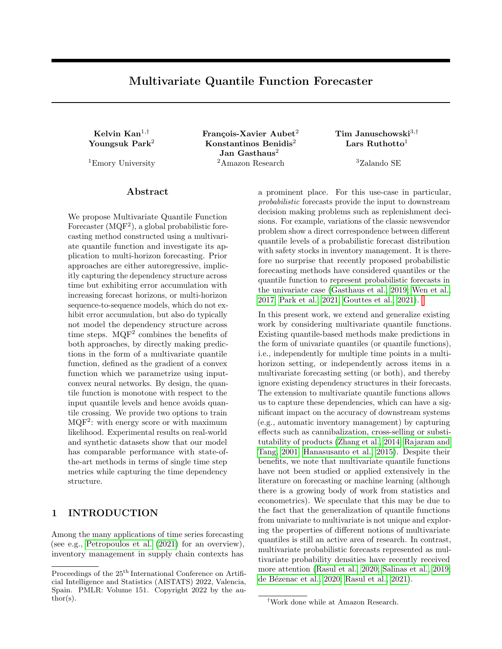| (a) Correlation matrix (b) MQCNN    | (c) DeepAR | (d) MQF $^2$ + ES | (e) MQF $^2$ + ML |
|-------------------------------------|------------|-------------------|-------------------|
| of the training samples. MAE: 0.075 | MAE: 0.033 | MAE: 0.023        | MAE: 0.019        |

Figure 3: Experiments with generated samples from a Gaussian process over 24 time steps which have the correlation matrix visualized in (a). Figures (b)-(e) show the correlation matrices obtained from 200 samples of dierent models and the mean absolute error (MAE) between the model correlation matrix and the ground truth.

#### 5.2 Experiments on Synthetic Data

In the real experiments, we observe that our  $MQP$ best captures the time dependency structure. Here we further illustrate this advantage using a synthetic dataset of 500 time series of 24 points drawn from a Gaussian process (GP) with a correlation matrix shown in Figure 3(a). The kernel of the GP governing the covariance between time points is composed of a radial basis function kernel and a periodic kernel, resulting in a complex correlation structure.

We evaluate how well the di erent methods can model the marginal GP distribution. We train each of the methods on the GP samples and then generate 200 sample paths for each of them and compute the correlation matrix of the generated sample paths. The correlation matrices are shown in Figure 3(b)-(e). In addition to the visualization, we compute the mean absolute error (MAE) between the correlation matrix from model samples and the true correlation matrix. If a method captures the GP well, it will generate sample paths which closely follow the distribution and hence report a correlation matrix similar to the true one.

We see that MQCNN generates a correlation matrix which is essentially diagonal and reports the highest error. This shows that it fails to capture the correlation, as it assumes each time point to be independent and therefore ignores the time dependency structure. For the DeepAR method, its unrolling mechanism allows it to capture the correlation matrix reasonably well and report a much lower error than MQCNN. Finally, as our  $MQF<sup>2</sup>$  explicitly considers the whole sample path at once, it best approximates the true correlation matrix and has the lowest errors.

### 6 DISCUSSION

In this paper, we presented  $MQP$ , a novel method for probabilistic forecasting via a multivariate quantile function that we model as the gradient of an input convex neural network. Our experiments show that we maintain favorable properties of prior work on (univariate) quantile functions for probabilistic forecasts while addressing some of their shortcomings. In particular, sample paths (which are a commonly-used way of passing probabilistic forecasts to downstream components) can easily be generated from our model and correctly re
ect the dependency structure across time (which also makes them visually coherent). Further, there is no accumulation of forecast error over the length of the forecast horizon and our method is overall very competitive with the state of the art.

Despite these bene ts, there are situations and applications where alternative approaches might be better suited. In particular, autoregressive constructions that decompose the joint distribution into its telescoping univariate marginals (Wei, 2008; Uria et al., 2013; Papamakarios et al., 2017; Wang et al., 2019; Jaini et al., 2019), allow the quantile levels to retain their classical probabilistic interpretation (e.g. for the construction of univariate prediction intervals) and provide direct access to certain conditional distributions of interest (future conditioned on past). Similarly, multihorizon approaches provide direct access to the univariate marginal distributions, which in our approach can only be obtained through sampling. In fact, an interesting avenue for future work is to explore whether a multivariate quantile function model can be constructed that retains the ability to access marginal and conditional distributions without resorting to sampling. Future work could further extend our approach to the practically important case of count distributions and assess the quality of our approach for quantile functions jointly over the time and item dimensions. Finally, more suitable forecasters in domain adaptation (Jin et al., 2022) with faster training schemes (Lu et al., 2021) can be developed, ultimately being able to be incorporated for downstream decision makings, e.g., planning cloud computing and vehicle controllers (Park et al., 2019, 2020; Kim et al., 2020).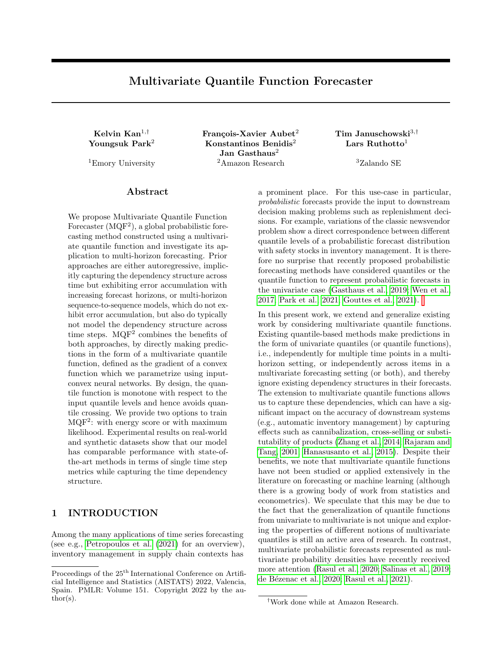### Acknowledgements

The authors would like to thank the ve anonymous referees for their thorough review and constructive suggestions. They would also like to thank Michael Bohlke-Schneider, Syama Sundar Rangapuram, Lorenzo Stella, and Jasper Zschiegner for reviewing the code and giving helpful advice.

### References

- Alexandrov, A., Benidis, K., Bohlke-Schneider, M., Flunkert, V., Gasthaus, J., Januschowski, T., Maddix, D. C., Rangapuram, S., Salinas, D., Schulz, J., Stella, L., Turkmen, A. C., and Wang, Y. (2020). GluonTS: Probabilistic and neural time series modeling in python. Journal of Machine Learning Research, 21(116):1{6.
- Amos, B., Xu, L., and Kolter, J. Z. (2017). Input convex neural networks. InInternational Conference on Machine Learning, pages 146{155. PMLR.
- Benidis, K., Rangapuram, S. S., Flunkert, V., Wang, B., Maddix, D. C., Turkmen, A. C., Gasthaus, J., Bohlke-Schneider, M., Salinas, D., Stella, L., Callot, L., and Januschowski, T. (2020). Neural forecasting: Introduction and literature overview. CoRR, abs/2004.10240.
- Brenier, Y. (1991). Polar factorization and monotone rearrangement of vector-valued functions.Communications on pure and applied mathematics44(4):375{ 417.
- Bunne, C., Meng-Papaxanthos, L., Krause, A., and Cuturi, M. (2021). Jkonet: Proximal optimal transport modeling of population dynamics. arXiv preprint arXiv:2106.06345.
- Carlier, G., Chernozhukov, V., Galichon, A., et al. (2016). Vector quantile regression: an optimal transport approach. Annals of Statistics, 44(3):1165{1192.
- Chen, Y., Shi, Y., and Zhang, B. (2019). Optimal control via neural networks: A convex approach. In International Conference on Learning Representations.
- Chernozhukov, V., Galichon, A., Hallin, M., and Henry, M. (2017). Monge{Kantorovich depth, quantiles, ranks and signs.The Annals of Statistics, 45(1):223 { 256.
- Dabney, W., Ostrovski, G., Silver, D., and Munos, R. (2018). Implicit quantile networks for distributional reinforcement learning. In Dy, J. and Krause, A., editors, Proceedings of the 35th International Conference on Machine Learning volume 80 of Proceedings of Machine Learning Research pages 1096{1105. PMLR.
- de Bezenac, E., Rangapuram, S. S., Benidis, K., Bohlke-Schneider, M., Kurle, R., Stella, L., Hasson, H., Gallinari, P., and Januschowski, T. (2020). Normalizing Kalman Iters for multivariate time series analysis. Advances in Neural Information Processing Systems, 33.
- Dheeru, D. and Karra Taniskidou, E. (2017). UCI machine learning repository.
- Eisenach, C., Patel, Y., and Madeka, D. (2020). Mqtransformer: Multi-horizon forecasts with context dependent and feedback-aware attention. arXiv preprint arXiv:2009.14799.
- Gasthaus, J., Benidis, K., Wang, Y., Rangapuram, S. S., Salinas, D., Flunkert, V., and Januschowski, T. (2019). Probabilistic forecasting with spline quantile function rnns. In The 22nd international conference on articial intelligence and statistics , pages 1901{ 1910. PMLR.
- Gneiting, T. and Raftery, A. E. (2007). Strictly proper scoring rules, prediction, and estimation. Journal of the American statistical Association, 102(477):359{ 378.
- Gouttes, A., Rasul, K., Koren, M., Stephan, J., and Naghibi, T. (2021). Probabilistic time series forecasting with implicit quantile networks. arXiv preprint arXiv:2107.03743.
- Hallin, M., del Barrio, E., Cuesta-Albertos, J., and Matran, C. (2021). Distribution and quantile functions, ranks and signs in dimension d: A measure transportation approach. The Annals of Statistics, 49(2):1139 { 1165.
- Hanasusanto, G. A., Kuhn, D., Wallace, S. W., and Zymler, S. (2015). Distributionally robust multiitem newsvendor problems with multimodal demand distributions. Math. Program., 152(1-2):1{32.
- Huang, C.-W., Chen, R. T. Q., Tsirigotis, C., and Courville, A. (2021). Convex potential 
ows: Universal probability distributions with optimal transport and convex optimization. In International Conference on Learning Representations.
- Jaini, P., Selby, K. A., and Yu, Y. (2019). Sum-ofsquares polynomial ow. In Chaudhuri, K. and Salakhutdinov, R., editors, Proceedings of the 36th International Conference on Machine Learning, volume 97 ofProceedings of Machine Learning Research, pages 3009{3018. PMLR.
- Jin, X., Park, Y., Maddix, D. C., Wang, H., and Wang, Y. (2022). Domain adaptation for time series forecasting via attention sharing.
- Kass, R. E. and Vos, P. W. (2011). Geometrical foundations of asymptotic inference, volume 908. John Wiley & Sons.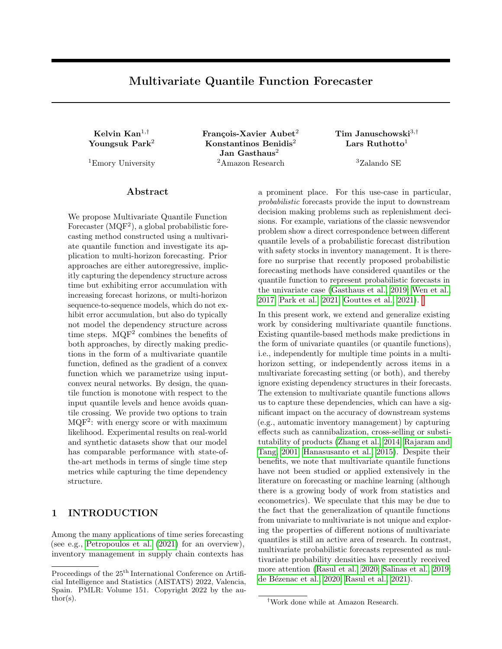- Kim, J., Park, Y., Fox, J. D., Boyd, S. P., and Dally, W. (2020). Optimal operation of a plug-in hybrid vehicle with battery thermal and degradation model. In 2020 American Control Conference (ACC), pages 3083{3090. IEEE.
- Knott, M. and Smith, C. S. (1984). On the optimal mapping of distributions. Journal of Optimization Theory and Applications, 43(1):39{49.
- Kobyzev, I., Prince, S. J., and Brubaker, M. A. (2021). Normalizing 
ows: An introduction and review of current methods. IEEE Transactions on Pattern Analysis and Machine Intelligence, 43(11):3964{3979.
- Koenker, R. (2005). Quantile Regression. Econometric Society Monographs. Cambridge University Press.
- Koenker, R. and Bassett, G. (1978). Regression quantiles. Econometrica, 46(1):33{50.
- Koltchinskii, V. I. (1997). M-estimation, convexity and quantiles. The Annals of Statistics, 25(2):435 { 477.
- Li, S., Jin, X., Xuan, Y., Zhou, X., Chen, W., Wang, Y.-X., and Yan, X. (2019). Enhancing the locality and breaking the memory bottleneck of transformer on time series forecasting. In Wallach, H., Larochelle, H., Beygelzimer, A., d'Alche-Buc, F., Fox, E., and Garnett, R., editors, Advances in Neural Information Processing Systemsvolume 32. Curran Associates, Inc.
- Lim, B., Arif, S., Loe, N., and Pster, T. (2021). Temporal fusion transformers for interpretable multihorizon time series forecasting.International Journal of Forecasting, 37(4):1748{1764.
- Liu, D. C. and Nocedal, J. (1989). On the limited memory BFGS method for large scale optimization. Mathematical programming, 45(1):503{528.
- Lu, Y., Park, Y., Chen, L., Wang, Y., De Sa, C., and Foster, D. (2021). Variance reduced training with stratied sampling for forecasting models. In Meila, M. and Zhang, T., editors, Proceedings of the 38th International Conference on Machine Learning volume 139 of Proceedings of Machine Learning Research pages 7145{7155. PMLR.
- Makkuva, A., Taghvaei, A., Oh, S., and Lee, J. (2020). Optimal transport mapping via input convex neural networks. In International Conference on Machine Learning, pages 6672{6681. PMLR.
- Makridakis, S. et al. (2018). The M4 competition: Results, ndings, conclusion and way forward. International Journal of Forecasting, 34(4):802{808.
- Matheson, J. E. and Winkler, R. L. (1976). Scoring rules for continuous probability distributions. Management Science 22(10): 1087{1096.
- Papamakarios, G., Pavlakou, T., and Murray, I. (2017). Masked autoregressive 
ow for density estimation. In Guyon, I., Luxburg, U. V., Bengio, S., Wallach, H., Fergus, R., Vishwanathan, S., and Garnett, R., editors, Advances in Neural Information Processing Systems, volume 30. Curran Associates, Inc.
- Park, Y., Maddix, D., Aubet, F.-X., Kan, K., Gasthaus, J., and Wang, Y. (2021). Learning quantile functions without quantile crossing for distribution-free time series forecasting.arXiv preprint arXiv:2111.06581.
- Park, Y., Mahadik, K., Rossi, R. A., Wu, G., and Zhao, H. (2019). Linear quadratic regulator for resourceecient cloud services. In Proceedings of the ACM Symposium on Cloud Computing pages 488{489.
- Park, Y., Rossi, R., Wen, Z., Wu, G., and Zhao, H. (2020). Structured policy iteration for linear quadratic regulator. In International Conference on Machine Learning, pages 7521{7531. PMLR.
- Paszke, A., Gross, S., Massa, F., Lerer, A., Bradbury, J., Chanan, G., Killeen, T., Lin, Z., Gimelshein, N., Antiga, L., Desmaison, A., Kopf, A., Yang, E., DeVito, Z., Raison, M., Tejani, A., Chilamkurthy, S., Steiner, B., Fang, L., Bai, J., and Chintala, S. (2019). Pytorch: An imperative style, high-performance deep learning library. Advances in Neural Information Processing Systems32:8024{8035.

Petropoulos, F., Apiletti, D., Assimakopoulos, V., Babai, M. Z., Barrow, D. K., Taieb, S. B., Bergmeir, C., Bessa, R. J., Bijak, J., Boylan, J. E., Browell, J., Carnevale, C., Castle, J. L., Cirillo, P., Clements, M. P., Cordeiro, C., Oliveira, F. L. C., Baets, S. D., Dokumentov, A., Ellison, J., Fiszeder, P., Franses, P. H., Frazier, D. T., Gilliland, M., Gonul, M. S., Goodwin, P., Grossi, L., Grushka-Cockayne, Y., Guidolin, M., Guidolin, M., Gunter, U., Guo, X., Guseo, R., Harvey, N., Hendry, D. F., Hollyman, R., Januschowski, T., Jeon, J., Jose, V. R. R., Kang, Y., Koehler, A. B., Kolassa, S., Kourentzes, N., Leva, S., Li, F., Litsiou, K., Makridakis, S., Martin, G. M., Martinez, A. B., Meeran, S., Modis, T., Nikolopoulos, K., Onkal, D., Paccagnini, A., Panagiotelis, A., • Panapakidis, I., Pava, J. M., Pedio, M., Pedregal, D. J., Pinson, P., Ramos, P., Rapach, D. E., Reade, J. J., Rostami-Tabar, B., Rubaszek, M., Sermpinis, G., Shang, H. L., Spiliotis, E., Syntetos, A. A., Talagala, P. D., Talagala, T. S., Tashman, L., Thomakos, D., Thorarinsdottir, T., Todini, E., Arenas, J. R. T., Wang, X., Winkler, R. L., Yusupova, A., and Ziel, F. (2021). Forecasting: theory and practice.

Peyre, G., Cuturi, M., et al. (2019). Computational optimal transport: With applications to data science. Foundations and Trends in Machine Learning, 11(5- 6):355{607.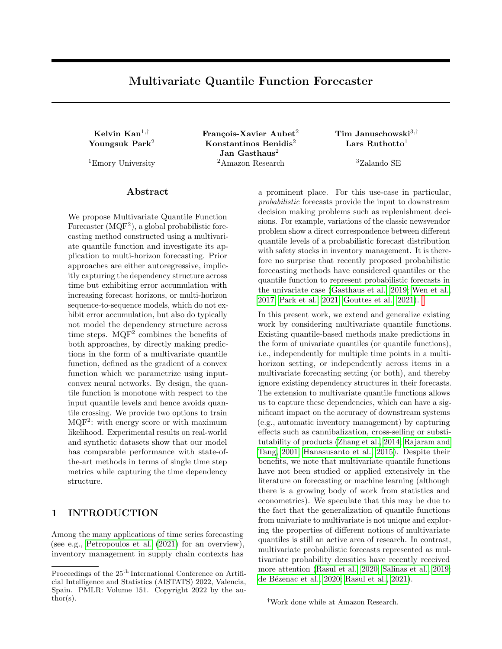- Rajaram, K. and Tang, C. S. (2001). The impact of product substitution on retail merchandising. European Journal of Operational Research, 135(3):582{ 601.
- Rangapuram, S. S., Seeger, M. W., Gasthaus, J., Stella, L., Wang, Y., and Januschowski, T. (2018). Deep state space models for time series forecasting. Advances in neural information processing systems 31:7785{7794.
- Rasul, K., Seward, C., Schuster, I., and Vollgraf, R. (2021). Autoregressive denoising di usion models for multivariate probabilistic time series forecasting.
- Rasul, K., Sheikh, A.-S., Schuster, I., Bergmann, U., and Vollgraf, R. (2020). Multivariate probabilistic time series forecasting via conditioned normalizing ows. arXiv preprint arXiv:2002.06103.
- Ruthotto, L. and Haber, E. (2021). An introduction to deep generative modeling.GAMM-Mitteilungen , 44(2):e202100008.
- Salinas, D., Bohlke-Schneider, M., Callot, L., Medico, R., and Gasthaus, J. (2019). High-dimensional multivariate forecasting with low-rank gaussian copula processes.Advances in neural information processing systems 32.
- Salinas, D., Flunkert, V., Gasthaus, J., and Januschowski, T. (2020). Deepar: Probabilistic forecasting with autoregressive recurrent networks.International Journal of Forecasting, 36(3):1181{1191.
- Szekely, G. J. (2003). E-statistics: The energy of statistical samples. Bowling Green State University, Department of Mathematics and Statistics Technical Report, 3(05):1{18.
- Tabak, E. G. and Turner, C. V. (2013). A family of nonparametric density estimation algorithms. Communications on Pure and Applied Mathematics, 66(2):145{ 164.
- Tagasovska, N. and Lopez-Paz, D. (2019). Singlemodel uncertainties for deep learning. In Wallach, H., Larochelle, H., Beygelzimer, A., dAlche-Buc, F., Fox, E., and Garnett, R., editors, Advances in Neural Information Processing Systems volume 32. Curran Associates, Inc.
- Uria, B., Murray, I., and Larochelle, H. (2013). Rnade: The real-valued neural autoregressive density-estimator. In Burges, C. J. C., Bottou, L., Welling, M., Ghahramani, Z., and Weinberger, K. Q., editors, Advances in Neural Information Processing Systems, volume 26. Curran Associates, Inc.
- Villani, C. (2009). Optimal transport: old and new. Springer.
- Wang, J., Sun, S., and Yu, Y. (2019). Multivariate triangular quantile maps for novelty detection. In

Wallach, H., Larochelle, H., Beygelzimer, A., d'Alche-Buc, F., Fox, E., and Garnett, R., editors, Advances in Neural Information Processing Systems volume 32. Curran Associates, Inc.

- Wei, Y. (2008). An approach to multivariate covariatedependent quantile contours with application to bivariate conditional growth charts. Journal of the American Statistical Association, 103(481):397{409.
- Wen, R., Torkkola, K., Narayanaswamy, B., and Madeka, D. (2017). A multi-horizon quantile recurrent forecaster. In NIPS 2017 Time Series Workshop.
- Zhang, R.-Q., Zhang, L.-K., Zhou, W.-H., Saigal, R., and Wang, H.-W. (2014). The multi-item newsvendor model with cross-selling and the solution when demand is jointly normally distributed. European Journal of Operational Research 236(1):147{159.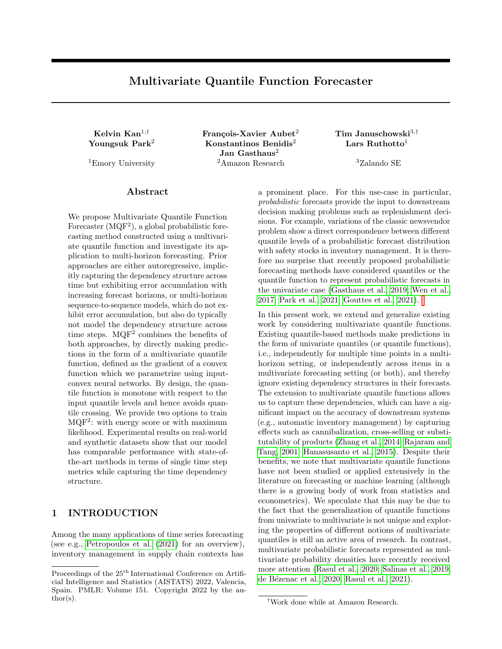# Supplementary Material: Multivariate Quantile Function Forecaster

# A EXPERIMENTAL DETAILS

### A.1 Datasets

Table 2 lists the information of the datasets used in the experiments. The datasets are available in the GluonTS dataset repository.<sup>4</sup>

| domain          | name         | support | frea | no. ts | avg. len | pred. len | no. covariates |
|-----------------|--------------|---------|------|--------|----------|-----------|----------------|
| electrical load | Elec         | R+      | н    | 321    | 21044    | 24        |                |
| road tra c      | Traf         | [0; 1]  | н    | 862    | 14036    | 24        |                |
|                 | M4-daily     | $R^+$   | D    | 4227   | 2357     | 14        | 3              |
| M4 forecasting  | M4-weekly    | R+      | W    | 359    | 1022     | 13        |                |
| competition     | M4-monthly   | R+      | М    | 48000  | 216      | 18        |                |
|                 | M4-quarterly | R+      | Q    | 24000  | 92       |           |                |
|                 | M4-yearly    | R+      |      | 23000  | 31       |           |                |

Table 2: Summary of dataset statistics, whereElec and Traf are dervied from the UCI data repository (Dheeru and Karra Taniskidou, 2017), and M4are competition datasets (Makridakis et al., 2018).

### A.2 Hyperparameters

The hyperparameters used in the experiments are listed in Table 3. For the RNN parameters we use the default setting of the DeepAREstimator in the GluonTS package (Alexandrov et al., 2020). The other hyperparameters were selected by performing a grid search only on theElec dataset, and were used as default values on all the other datasets.

| vpe                 | Hyperparameter  | Value     |  |  |
|---------------------|-----------------|-----------|--|--|
| <b>RNN</b>          | layers          | 2         |  |  |
|                     | nodes           | 40        |  |  |
| <b>PICNN</b>        | layers          | 5         |  |  |
|                     | nodes           | 40        |  |  |
| <b>Energy Score</b> | num. of samples | 50        |  |  |
| Training            | epochs          | 100 / 300 |  |  |
|                     | batch size      | 32        |  |  |

Table 3: Summary of hyperparameters. For the number of training epochs, 100 is used for DeepAR and MQCNN, and 300 is used for MQP. This is because DeepAR and MQCNN have already converged after 100 epochs and  $MQF<sup>2</sup>$  takes more epochs to converge.

# B DEFINITION OF EVALUATION METRICS

Consider the target value  $z_{i;t}$  for the i-th time series at time t, where  $i = 1; \dots; m$  and  $t = T + 1; \dots; T + \dots$ , and the corresponding predictionsf  $z_{i;t;s}$   $g^S_{s=1}$  from S sample paths. We denote the -quantile of the predictions as $z^\lambda_{i;t}$  .

<sup>4</sup> https://github.com/awslabs/gluon-ts/blob/master/src/gluonts/dataset/repository/datasets.py.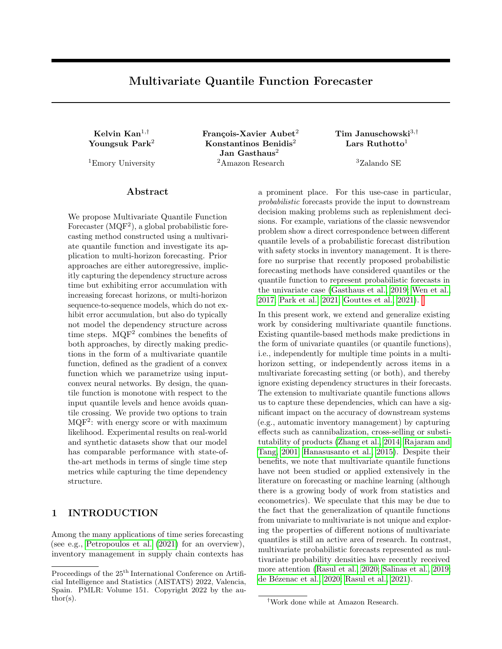#### B.1 Mean Weighted Quantile Loss

The -quantile loss is dened as

$$
(z_{i;t} ; \hat{z}_{i;t}) = (z_{i;t} - \hat{z}_{i;t}) (1 + \bar{z}_{i;t} - \hat{z}_{i;t} < 0 \text{g})
$$

The mean weighted quantile loss is de ned as

$$
\text{meanwQL} = \; \frac{1}{jAj} \; \frac{X}{2A} \; \frac{\begin{array}{c} P \text{ } \text{ }m \text{ } P \text{ } \text{T+} \\ \text{i =} \text{ }p \text{ } \text{ } \text{ }m \text{ } P \text{ } \text{T+} \\ \text{ }m \text{ } \text{ }p \text{ } \text{T+} \text{ } \text{T+} \text{ }j \text{ } \text{ }z \text{; i, j} \end{array}}{\begin{array}{c} \text{ }i \text{ } =} \text{ } p \text{ } \text{ } \text{ } m \text{ } P \text{ } \text{ } \text{T+} \text{ } \text{ }j \text{ } \text{ } \text{ } \text{ } i \text{ } \text{ } m \text{ } j \text{ } \text{ } i \text{; i, j} \end{array}} \; ;
$$

where A is a set of prespecied quantile levels. In our experiments, we usedA f 0:1; 0:2; 0:3; 0:4; 0:5; 0:6; 0:7; 0:8; 0:9g.

#### B.2 n-th Step Mean Weighted Quantile Loss

The mean weighted quantile loss at then-th step is dened as

$$
\text{meanwQL}(n) = \; \frac{1}{jAj} \; \frac{X}{\underset{2A}{\longrightarrow}} \; \frac{P_{\text{ }m}}{\underset{i = 1}{\overset{m}{\longrightarrow}}} \frac{2}{jz_{i;n}} \; (\underset{j}{z_{i;n}} \; \underline{i} \, \underline{A}_{j;n})}{\underset{j = 1}{\overset{m}{\longrightarrow}}} \; .
$$

### B.3 Sum CRPS

The sum CRPS is the (approximated) CRPS for the sum of the predictions over the prediction horizon and dened as 0 1

sumCRPS = 
$$
\frac{1}{m} \sum_{i=1}^{N^n} \omega \frac{1}{2jSj^2} \sum_{j=1 \ k=1}^{N} j \alpha_{i;j} \omega_{i;k} j + \frac{1}{jSj} \sum_{j=1}^{N^S} j \alpha_{i;j} \omega_{i} j^A ;
$$
  
\n $\sum_{t \hat{Z}_{i;tj}} \text{ and } u_i = \sum_{t \hat{U}_{i;t}} u_{i;t}.$ 

where  $\mathbf{w}_{i:j} =$ P t t

### B.4 Mean Scaled Interval Score

The mean scaled interval score (MSIS) is de ned as

MSIS( ) = <sup>1</sup> SE(z) 1 m Xm i =1 TX+ t = T +1 (^z U i;t z^ L i;t + 2 [(^z L i;t zi;t )1f zi;t < z^ L i;t g + ( zi;t z^ U i;t )1f zi;t > z^ U i;t g] ;

where the upper quantile  $U = 1$  = 2, and the lower quantile  $L = 2$ . The seasonal error SE for time series frequency f is given by

$$
SE(z) = \frac{1}{m(T-f)} \sum_{i=1}^{m} \sum_{t^{0}=1}^{K} j z_{i;t^{0}} z_{i;t^{0}+f} j:
$$

### C PROOF OF PROPOSITION 1

Here, we state Proposition 1 again and provide the proof.

Proposition 1. Let D R<sup>n</sup> be open,G : D ! R be a strongly convex and smooth function and be its gradient. Then  $g^{-1}$  exists and is the gradient of a convex function.

Proof. The strong convexity and smoothness ofG implies the existence ofg <sup>1</sup> and that r  $g(x)$  is symmetric positive de nite (SPD) for all  $x 2 D$ . Sinceg is one-to-one, smooth, andr  $g(x)$  is SPD for all  $x 2 D$ , by Kass and Vos (2011, Corollary A.2), g<sup>-1</sup> is also smooth and thereforer g<sup>-1</sup>(g(x))r g(x) = 1<sub>n</sub> for all x 2 D. This implies r g<sup>-1</sup>(y) is SPD for all y 2 g(D) and hence

$$
\frac{Qg}{\omega} \frac{1}{y} = \frac{Qg}{\omega} \frac{1}{y} \quad \text{for all } i; j = 1; 2; \dots; n: \tag{15}
$$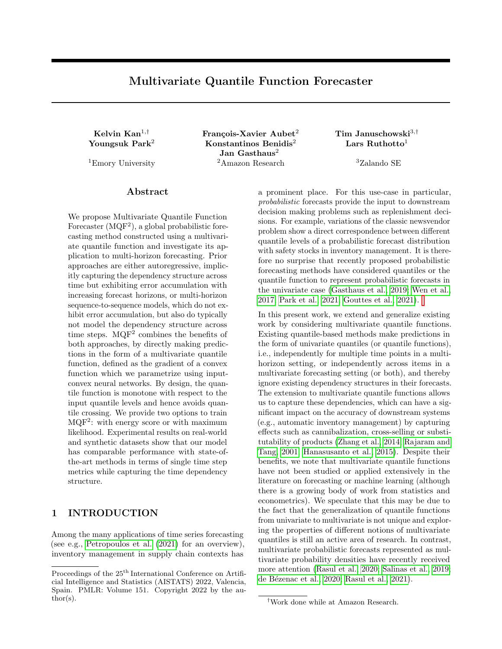Let  $(\mathbf{y}) = \int_{j=1}^{n} y_j \int_0^{n} [g^{-1}]_j(t\mathbf{y}) dt$ . Consider its partial derivative

$$
\frac{\mathcal{Q}}{\mathcal{Q}_{\mathbf{y}_i}}(\mathbf{y}) = \int_0^{\mathcal{Z}} [g^{-1}]_i(t\mathbf{y}) dt + \int_0^{\mathcal{Z}} \int_0^{\mathcal{Z}} y_j t \frac{\mathcal{Q}[g^{-1}]_j}{\mathcal{Q}_{\mathbf{y}_i}}(t\mathbf{y}) dt
$$

using  $(15)$ , we get

$$
= \int_{0}^{Z} [g^{-1}]_i(t\mathbf{y})dt + \int_{0}^{Z} \int_{j=1}^{N} y_j t \frac{\mathcal{E}[g^{-1}]_i}{\mathcal{E}y_j}(t\mathbf{y})dt
$$

applying the chain rule  $\frac{\partial}{\partial t} [g^{-1}]_i(ty) = t \frac{\partial [g^{-1}]_i}{\partial y_i}$  $\frac{g}{\partial y_i}$  (*ty*), we obtain

$$
= \int_{0}^{Z} [g^{-1}]_i(t\mathbf{y}) dt + \int_{0}^{Z} t \frac{e}{\mathscr{E}t} [g^{-1}]_i(t\mathbf{y}) dt
$$

performing integration by parts, we have

$$
= \int_{0}^{Z} [g^{-1}]_i(t\mathbf{y})dt + t[g^{-1}]_i(t\mathbf{y}) \Big|_{t=0}^{t=1} \int_{0}^{Z} [g^{-1}]_i(t\mathbf{y})dt
$$
  
=  $[g^{-1}]_i(\mathbf{y})$ ; for  $i = 1, 2, ..., n$ :

Therefore,  $r = g^{-1}$ . Moreover is convex because its Hessian  $r g^{-1}(y)$  is SPD for all  $y \nvert 2 g(D)$ . Therefore,  $g^{-1}$  is the gradient of the convex function.

## D ADDITIONAL RESULTS TABLE

| Dataset      | Model        | Metrics over full horizon |                    |                | Mean Quantile Loss over differing forecast horizon |                            |                            |                          |                 |                     |
|--------------|--------------|---------------------------|--------------------|----------------|----------------------------------------------------|----------------------------|----------------------------|--------------------------|-----------------|---------------------|
|              |              | sum CRPS                  | Energy score       | <b>MSIS</b>    | $mean_wQL$                                         | 1 step                     | 5 steps                    | 10 steps                 | 15 steps        | 20 steps            |
|              | <b>MQCNN</b> | 54.2<br>2323.5            | 1282.1<br>1.0      | 11.7<br>0.0    | 0.086<br>0.0                                       | 0.042<br>0.0               | 0.125<br>0.01              | 0.02<br>0.117            | 0.094<br>0.01   | 0.0<br>0.062        |
| Elec         | DeepAR       | 180.8<br>3059.6           | 971.7<br>59.0      | 7.3<br>0.1     | 0.07<br>0.0                                        | 0.027<br>0.0               | 0.055<br>0.0               | 0.0<br>0.059             | 0.074<br>0.0    | 0.01<br>0.089       |
|              | $MOF2 + ES$  | 1723.7<br>122.8           | 32.1<br>891.1      | 6.9<br>0.1     | 0.066<br>0.0                                       | 0.031<br>0.0               | 0.08<br>0.01               | 0.102<br>0.0             | 0.056<br>0.0    | 0.01<br>0.068       |
|              | $MQF^2 + ML$ | $2332.523 \pm 146.88$     | $893.6 \pm 53.8$   | $7.2 \pm 0.6$  | $0.066 \pm 0.0$                                    | $0.038 \pm 0.01$           | $0.088 \pm 0.02$           | $0.073 \pm 0.01$         | $0.053 \pm 0.0$ | 0.067<br>$\pm 0.01$ |
|              | <b>MOCNN</b> | 0.419<br>0.33             | 0.161<br>0.06      | 46.1<br>1.6    | 0.993<br>0.29                                      | 0.4<br>0.905               | 5.909<br>0.37              | 0.878<br>0.42            | 0.871<br>0.23   | 0.18<br>0.644       |
| Traf         | DeepAR       | 0.108<br>0.01             | 0.061<br>0.0       | 7.2<br>0.1     | 0.131<br>0.0                                       | 0.074<br>0.0               | 0.163<br>0.0               | 0.117<br>0.0             | 0.123<br>0.0    | 0.0<br>0.144        |
|              | $MOF2 + ES$  | 0.095<br>0.0              | 0.06<br>0.0        | 7.2<br>0.0     | 0.142<br>0.0                                       | 0.104<br>0.0               | 0.298<br>0.01              | 0.139<br>0.01            | 0.127<br>0.0    | 0.01<br>0.139       |
|              | $MQF^2 + ML$ | $0.097 \pm 0.0$           | $0.062 \pm 0.0$    | $6.6 \pm 0.1$  | $0.13 \pm 0.0$                                     | $0.078 \pm 0.0$            | $0.165 \pm 0.01$           | $0.13 \pm 0.0$           | $0.12 \pm 0.0$  | $0.14 \pm 0.0$      |
| M4-daily     | <b>MQCNN</b> | 3089.8<br>10.4            | 923.1<br>3.6       | 41.9<br>0.9    | 0.027<br>0.0                                       | 0.009<br>0.0               | 0.019<br>0.0               | 0.024<br>0.0             |                 |                     |
|              | DeepAR       | 966.5<br>3186.2           | 244.3<br>989.3     | 50.5<br>8.0    | 0.01<br>0.039                                      | 0.015<br>0.0               | 0.028<br>0.01              | 0.049<br>0.01            |                 |                     |
|              | $MOF2 + ES$  | 1752.0<br>47.3            | 619.2<br>8.7       | 0.3<br>31.1    | 0.024<br>0.0                                       | 0.013<br>0.0               | 0.019<br>0.0               | 0.027<br>0.0             |                 |                     |
|              | $MQF^2 + ML$ | $1786.028 \pm 60.94$      | $622.0 \pm 14.7$   | $30.5 \pm 0.3$ | $0.024 \pm 0.0$                                    | $0.01 \pm 0.0$             | $0.019 \pm 0.0$            | $0.029 \pm 0.0$          |                 |                     |
|              | <b>MQCNN</b> | $3572.45 \pm 104.73$      | $1463.4 \pm 18.8$  | $62.3 \pm 3.2$ | $0.065 \pm 0.0$                                    | $0.045 \pm 0.0$            | $0.067 \pm 0.0$            | $0.072 \pm 0.0$          |                 |                     |
| M4-weekly    | DeepAR       | $2885.141 \pm 443.69$     | $1166.9 \pm 119.6$ | $26.0 \pm 4.5$ | $0.054 \pm 0.01$                                   | $0.034 \pm 0.0$            | $0.053 \pm 0.0$            | $0.062 \pm 0.01$         |                 |                     |
|              | $MOF2 + ES$  | $2831.64 \pm 175.06$      | $1122.6 \pm 30.6$  | $21.5 \pm 1.5$ | $0.052 \pm 0.0$                                    | $0.043 \pm 0.0$            | $0.053 \pm 0.0$            | $0.056 \pm 0.0$          |                 |                     |
|              | $MQF^2 + ML$ | $2577.461 \pm 107.32$     | $1107.9 \pm 32.5$  | $26.1 \pm 1.8$ | $0.052 \pm 0.0$                                    | $0.039 \pm 0.0$            | $0.054 \pm 0.0$            | $0.054 \pm 0.0$          |                 |                     |
|              | <b>MQCNN</b> | 9196.6<br>175.4           | 3269.9<br>34.6     | 18.7<br>0.4    | 0.12<br>0.0                                        | 0.072<br>0.0               | 0.096<br>0.0               | 0.115<br>0.0             | 0.134<br>0.0    |                     |
| M4-monthly   | DeepAR       | 7337.0<br>345.5           | 2572.1<br>95.0     | 14.0<br>1.5    | 0.113<br>0.0                                       | 0.063<br>0.0               | 0.092<br>0.0               | 0.115<br>0.0             | 0.143<br>0.01   |                     |
|              | $MQF^2 + ES$ | 7365.7<br>218.1           | 2554.6<br>79.3     | 12.8<br>1.4    | 0.112<br>0.0                                       | 0.059<br>0.0               | 0.087<br>0.0               | 0.113<br>0.0             | 0.145<br>0.0    |                     |
|              | $MQF^2 + ML$ | $8235.445 \pm 0.0$        | $2839.7 \pm 0.0$   | $14.4 \pm 0.0$ | $0.124 \pm 0.0$                                    | $0.066 \pm 0.0$            | $0.1 \pm 0.0$              | $0.124 \pm 0.0$          | $0.159 \pm 0.0$ |                     |
|              | <b>MQCNN</b> | $3348.365 \pm 53.53$      | $1718.6 \pm 26.4$  | $15.6 \pm 1.6$ | $0.09 \pm 0.0$                                     | $\overline{0.059} \pm 0.0$ | $\overline{0.096} \pm 0.0$ |                          |                 |                     |
| M4-quarterly | DeepAR       | $3184.673 \pm 46.2$       | $1575.3 \pm 34.2$  | $15.0 \pm 2.7$ | $0.085 \pm 0.0$                                    | $0.051 \pm 0.0$            | $0.092 \pm 0.0$            |                          |                 |                     |
|              | $MQF^2 + ES$ | $3134.404 \pm 235.3$      | $1533.2 \pm 81.5$  | $11.8 \pm 0.5$ | $0.085 \pm 0.0$                                    | $0.054 \pm 0.0$            | $0.092 \pm 0.01$           |                          |                 |                     |
|              | $MQF^2 + ML$ | $3338.119 \pm 135.57$     | $1591.5 \pm 47.0$  | $11.7 \pm 0.8$ | $0.088 \pm 0.0$                                    | $0.053 \pm 0.0$            | $0.095 \pm 0.0$            |                          |                 |                     |
|              | <b>MQCNN</b> | 3753.7<br>28.1            | 1976.2<br>12.8     | 34.2<br>0.3    | 0.115<br>0.0                                       | 0.064<br>0.0               | 0.141<br>0.0               | $\overline{\phantom{a}}$ |                 |                     |
| M4-yearly    | DeepAR       | 3749.1<br>42.6            | 1917.1<br>7.9      | 34.9<br>0.6    | 0.118<br>0.0                                       | 0.065<br>0.0               | 0.145<br>0.0               |                          |                 |                     |
|              | $MOF2 + ES$  | 3649.3<br>60.9            | 1859.4<br>28.1     | 36.7<br>1.6    | 0.116<br>0.0                                       | 0.075<br>0.0               | 0.135<br>0.0               |                          |                 |                     |
|              | $MOF2 + ML$  | $3784.486 \pm 105.76$     | $1913.2 \pm 35.2$  | $38.8 \pm 2.1$ | $0.119 \pm 0.0$                                    | $0.07 \pm 0.0$             | $0.143 \pm 0.0$            |                          |                 |                     |

Table 4: Results (with additional datasets) of  $MQF<sup>2</sup>$  compared with other state of the art methods (for all columns lower is better.) We show the mean and standard deviation over 3 training runs. A "-" indicates that the corresponding time step is beyond the prediction length of the dataset.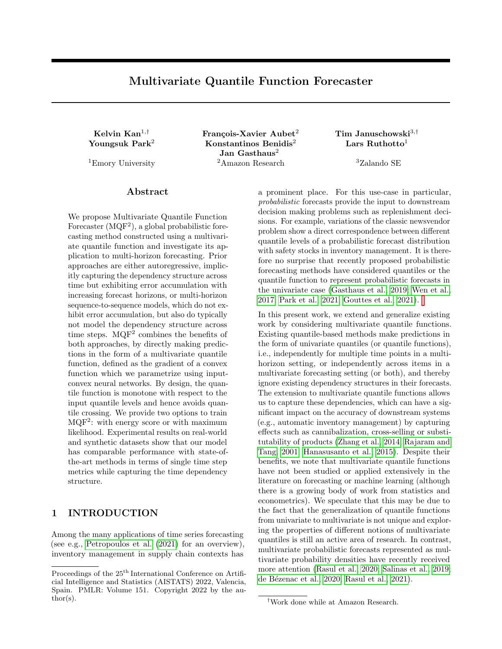Multivariate Quantile Function Forecaster

| Dataset      | Model              |                   | Point forecast metrics     |                            | Probabilistic metrics    |                   |                            |                   |  |  |
|--------------|--------------------|-------------------|----------------------------|----------------------------|--------------------------|-------------------|----------------------------|-------------------|--|--|
|              |                    | MASE              | sMAPE                      | <b>NRMSE</b>               | wQL $0.1$                | wQL $0.5\,$       | $wQL$ 0.9                  | MAE coverage      |  |  |
| El ec        | <b>MQCNN</b>       | $1.179 \pm 0.0$   | $0.168 \pm 0.0$            | $0.843 \pm 0.0$            | $0.055 \pm 0.0$          | $0.107 \pm 0.0$   | $0.055 \pm 0.0$            | $0.034 \pm 0.0$   |  |  |
|              | DeepAR             | $0.95 \pm 0.0$    | $0.129 \pm 0.0$            | $0.757 \pm 0.0$            | $0.034 \pm 0.0$          | $0.082 \pm 0.0$   | $0.049 \pm 0.0$            | $0.205 \pm 0.0$   |  |  |
|              | $MQF^2 + ES$       | $1.568 \pm 1.143$ | $0.177 \pm 0.093$          | $1.157 \pm 0.953$          | $0.077 \pm 0.073$        | $0.153 \pm 0.127$ | $0.072 \pm 0.051$          | $0.074 \pm 0.011$ |  |  |
|              | $MQF^2 + ML$       | $0.918 \pm 0.051$ | $0.121 \pm 0.004$          | $0.647 \pm 0.037$          | $0.036 \pm 0.002$        | $0.083 \pm 0.004$ | $0.045 \pm 0.004$          | $0.105 \pm 0.008$ |  |  |
|              | <b>MQCNN</b>       | $3.155 \pm 0.0$   | $\overline{0.998} \pm 0.0$ | $0.892 \pm 0.0$            | $0.864 \pm 0.0$          | $0.655 \pm 0.0$   | $\overline{2.197} \pm 0.0$ | $0.454 \pm 0.0$   |  |  |
| Traf         | DeepAR             | $0.598 \pm 0.0$   | $0.157 \pm 0.0$            | $0.417 \pm 0.0$            | $0.071 \pm 0.0$          | $0.156 \pm 0.0$   | $0.107 \pm 0.0$            | $0.046 \pm 0.0$   |  |  |
|              | $MOF2 + ES$        | $0.667 \pm 0.014$ | $0.2 \pm 0.002$            | $0.407 \pm 0.004$          | $0.074 \pm 0.002$        | $0.171 \pm 0.003$ | $0.118 \pm 0.002$          | $0.038 \pm 0.013$ |  |  |
|              | $MQF^2 + ML$       | $0.604 \pm 0.004$ | $0.156 \pm 0.001$          | $0.415 \pm 0.003$          | $0.064 \pm 0.001$        | $0.156 \pm 0.001$ | $0.111 \pm 0.002$          | $0.046 \pm 0.025$ |  |  |
| M4-daily     | $M\overline{QCNN}$ | $3.892 \pm 0.0$   | $0.035 \pm 0.0$            | $\overline{0.108} \pm 0.0$ | $0.021 \pm 0.0$          | $0.032 \pm 0.0$   | $0.016 \pm 0.0$            | $0.03 \pm 0.0$    |  |  |
|              | DeepAR             | $4.256 \pm 0.0$   | $0.038 \pm 0.0$            | $0.107 \pm 0.0$            | $0.022 \pm 0.0$          | $0.034 \pm 0.0$   | $0.017 \pm 0.0$            | $0.036 \pm 0.0$   |  |  |
|              | $MQF^2 + ES$       | $3.76 \pm 0.125$  | $0.035 \pm 0.001$          | $0.103 \pm 0.001$          | $0.018 \pm 0.0$          | $0.031 \pm 0.001$ | $0.014 \pm 0.001$          | $0.079 \pm 0.022$ |  |  |
|              | $MQF^2 + ML$       | $3.584 \pm 0.134$ | $0.034 \pm 0.001$          | $0.102 \pm 0.002$          | $0.017 \pm 0.0$          | $0.029 \pm 0.001$ | $0.013 \pm 0.0$            | $0.077 \pm 0.047$ |  |  |
|              | <b>MQCNN</b>       | $3.463 \pm 0.0$   | $0.098 \pm 0.0$            | $0.133 \pm 0.0$            | $0.039 \pm 0.0$          | $0.069 \pm 0.0$   | $\overline{0.057} \pm 0.0$ | $0.082 \pm 0.0$   |  |  |
| M4-weekly    | DeepAR             | $3.362 \pm 0.0$   | $0.093 \pm 0.0$            | $0.127 \pm 0.0$            | $0.029 \pm 0.0$          | $0.069 \pm 0.0$   | $0.037 \pm 0.0$            | $0.133 \pm 0.0$   |  |  |
|              | $MOF2 + ES$        | $3.005 \pm 0.16$  | $0.09 \pm 0.005$           | $0.12 \pm 0.002$           | $0.026 \pm 0.001$        | $0.066 \pm 0.002$ | $0.039 \pm 0.004$          | $0.072 \pm 0.034$ |  |  |
|              | $MQF^2 + ML$       | $3.135 \pm 0.19$  | $0.087 \pm 0.004$          | $0.124 \pm 0.004$          | $0.027 \pm 0.001$        | $0.065 \pm 0.002$ | $0.035 \pm 0.001$          | $0.06 \pm 0.019$  |  |  |
|              | <b>MQCNN</b>       | $1.217 \pm 0.0$   | $\overline{0.146 \pm 0.0}$ | $0.306 \pm 0.0$            | $\overline{0.103}$ ± 0.0 | $0.133 \pm 0.0$   | $\overline{0.092} \pm 0.0$ | $0.091 \pm 0.0$   |  |  |
| M4-monthly   | DeepAR             | $1.255 \pm 0.0$   | $0.145 \pm 0.0$            | $0.294 \pm 0.0$            | $0.069 \pm 0.0$          | $0.13 \pm 0.0$    | $0.084 \pm 0.0$            | $0.1 \pm 0.0$     |  |  |
|              | $MQF^2 + ES$       | $1.141 \pm 0.022$ | $0.149 \pm 0.002$          | $0.306 \pm 0.006$          | $0.073 \pm 0.004$        | $0.133 \pm 0.002$ | $0.083 \pm 0.005$          | $0.097 \pm 0.018$ |  |  |
|              | $MQF^2 + ML$       | $1.29 \pm 0.0$    | $0.165 \pm 0.0$            | $0.327 \pm 0.0$            | $0.08 \pm 0.0$           | $0.146 \pm 0.0$   | $0.098 \pm 0.0$            | $0.092 \pm 0.0$   |  |  |
|              | MQCNN              | $1.64 \pm 0.0$    | $\overline{0.122} \pm 0.0$ | $0.244 \pm 0.0$            | $0.055 \pm 0.0$          | $0.116 \pm 0.0$   | $0.064 \pm 0.0$            | $0.147 \pm 0.0$   |  |  |
| M4-quarterly | DeepAR             | $1.306 \pm 0.0$   | $0.108 \pm 0.0$            | $0.233 \pm 0.0$            | $0.049 \pm 0.0$          | $0.101 \pm 0.0$   | $0.06 \pm 0.0$             | $0.026 \pm 0.0$   |  |  |
|              | $MOF2 + ES$        | $1.364 \pm 0.092$ | $0.112 \pm 0.005$          | $0.235 \pm 0.006$          | $0.05 \pm 0.003$         | $0.104 \pm 0.006$ | $0.059 \pm 0.004$          | $0.067 \pm 0.029$ |  |  |
|              | $MQF^2 + ML$       | $1.444 \pm 0.08$  | $0.12 \pm 0.004$           | $0.244 \pm 0.005$          | $0.053 \pm 0.003$        | $0.11 \pm 0.003$  | $0.058 \pm 0.002$          | $0.073 \pm 0.035$ |  |  |
|              | <b>MQCNN</b>       | $3.358 \pm 0.0$   | $0.14 \pm 0.0$             | $0.286 + 0.0$              | $0.086 \pm 0.0$          | $0.134 \pm 0.0$   | $0.09 \pm 0.0$             | $0.132 \pm 0.0$   |  |  |
| M4-yearly    | DeepAR             | $3.235 \pm 0.0$   | $0.14 \pm 0.0$             | $0.295 \pm 0.0$            | $0.066 \pm 0.0$          | $0.138 \pm 0.0$   | $0.103 \pm 0.0$            | $0.059 \pm 0.0$   |  |  |
|              | $MQF^2 + ES$       | $3.442 \pm 0.137$ | $0.146 \pm 0.005$          | $0.292 \pm 0.005$          | $0.071 \pm 0.008$        | $0.141 \pm 0.003$ | $0.1 \pm 0.007$            | $0.108 \pm 0.024$ |  |  |
|              | $MOF2 + ML$        | $3.507 \pm 0.124$ | $0.15 \pm 0.004$           | $0.295 \pm 0.004$          | $0.071 \pm 0.004$        | $0.143 \pm 0.003$ | $0.093 \pm 0.003$          | $0.083 \pm 0.028$ |  |  |

Table 5: Results (with additional metrics) of MQF<sup>2</sup> compared with other state of the art methods. We show the mean and standard deviation over 3 training runs. A "-" indicates that the corresponding time step is beyond the prediction length of the dataset.

### E ROBUSTNESS EXPERIMENTS

To show that our  $MQF<sup>2</sup>$  is robust with respect to its hyperparameters, we perform experiments with varying encoder hidden state size and ICNN hidden layer size. We perform 3 training runs, and the mean and standard deviation over the runs are reported in Figures [4-](#page-16-0)[5.](#page-17-0) We observe that the performance of our  $MQF<sup>2</sup>$  is steady when the hyperparameters are changing. We also see that the standard deviations are small relative to the mean. In particular, the magnitudes of the standard deviations are about 15% of that of the means. When the encoder hidden state and ICNN hidden layer sizes increase, the performance gets slightly better in general.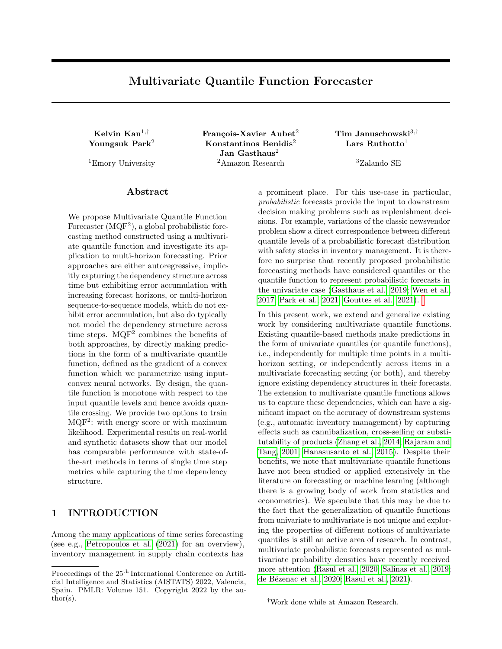<span id="page-16-0"></span>

Figure 4: To test the robustness of our  $MQF^2$ , we investigate the influence of the size of the encoder's hidden state on its performance. We report the sum CRPS, MSIS, Energy Score and mean weighted quantile loss when different hidden state sizes are used. The experiments are repeated 3 times. The solid lines represent the mean of the results, and the colored regions represent the range of 1 standard deviation.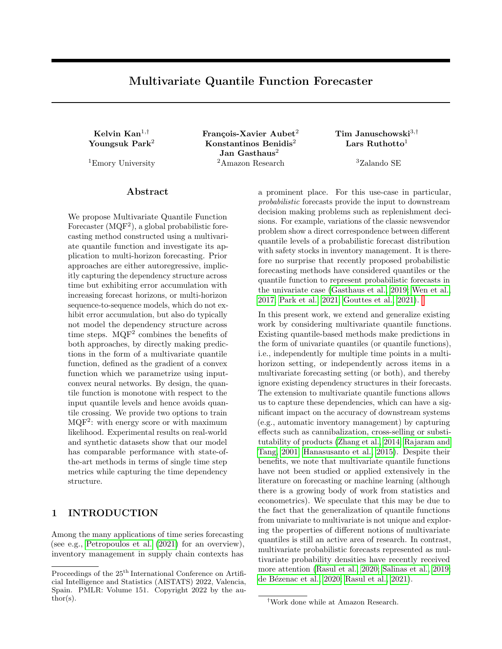<span id="page-17-0"></span>

Figure 5: To test the robustness of our MQF<sup>2</sup>, we investigate the influence of the width of the ICNN on its performance. We report the sum CRPS, MSIS, Energy Score and mean weighted quantile loss when different hidden layer sizes are used. The experiments are repeated 3 times. The solid lines represent the mean of the results, and the colored regions represent the range of 1 standard deviation.